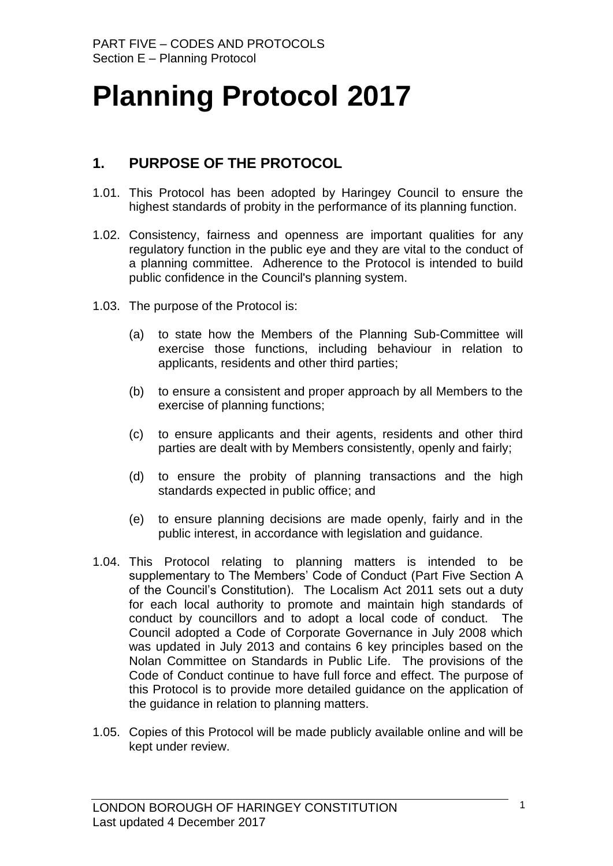# **Planning Protocol 2017**

## **1. PURPOSE OF THE PROTOCOL**

- 1.01. This Protocol has been adopted by Haringey Council to ensure the highest standards of probity in the performance of its planning function.
- 1.02. Consistency, fairness and openness are important qualities for any regulatory function in the public eye and they are vital to the conduct of a planning committee. Adherence to the Protocol is intended to build public confidence in the Council's planning system.
- 1.03. The purpose of the Protocol is:
	- (a) to state how the Members of the Planning Sub-Committee will exercise those functions, including behaviour in relation to applicants, residents and other third parties;
	- (b) to ensure a consistent and proper approach by all Members to the exercise of planning functions;
	- (c) to ensure applicants and their agents, residents and other third parties are dealt with by Members consistently, openly and fairly;
	- (d) to ensure the probity of planning transactions and the high standards expected in public office; and
	- (e) to ensure planning decisions are made openly, fairly and in the public interest, in accordance with legislation and guidance.
- 1.04. This Protocol relating to planning matters is intended to be supplementary to The Members' Code of Conduct (Part Five Section A of the Council"s Constitution). The Localism Act 2011 sets out a duty for each local authority to promote and maintain high standards of conduct by councillors and to adopt a local code of conduct. The Council adopted a Code of Corporate Governance in July 2008 which was updated in July 2013 and contains 6 key principles based on the Nolan Committee on Standards in Public Life. The provisions of the Code of Conduct continue to have full force and effect. The purpose of this Protocol is to provide more detailed guidance on the application of the guidance in relation to planning matters.
- 1.05. Copies of this Protocol will be made publicly available online and will be kept under review.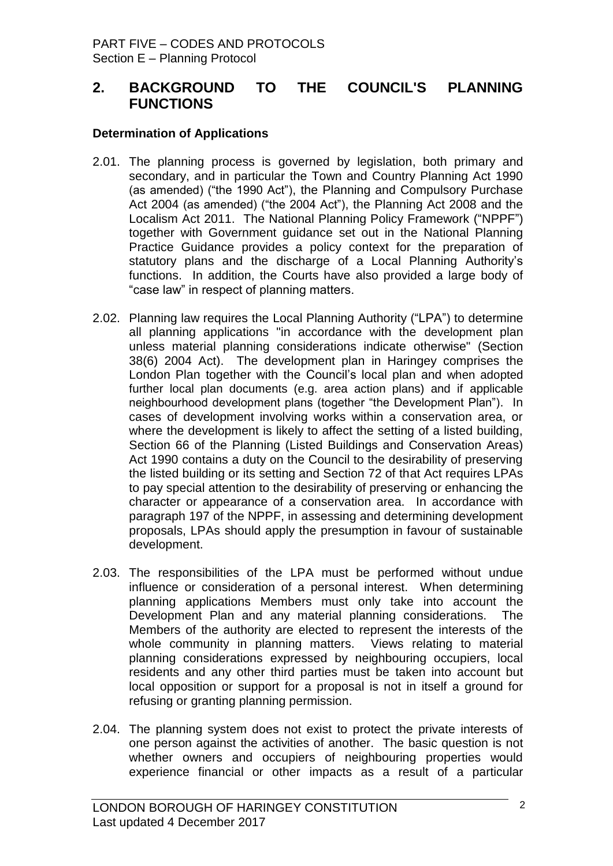## **2. BACKGROUND TO THE COUNCIL'S PLANNING FUNCTIONS**

#### **Determination of Applications**

- 2.01. The planning process is governed by legislation, both primary and secondary, and in particular the Town and Country Planning Act 1990 (as amended) ("the 1990 Act"), the Planning and Compulsory Purchase Act 2004 (as amended) ("the 2004 Act"), the Planning Act 2008 and the Localism Act 2011. The National Planning Policy Framework ("NPPF") together with Government guidance set out in the National Planning Practice Guidance provides a policy context for the preparation of statutory plans and the discharge of a Local Planning Authority's functions. In addition, the Courts have also provided a large body of "case law" in respect of planning matters.
- 2.02. Planning law requires the Local Planning Authority ("LPA") to determine all planning applications "in accordance with the development plan unless material planning considerations indicate otherwise" (Section 38(6) 2004 Act). The development plan in Haringey comprises the London Plan together with the Council"s local plan and when adopted further local plan documents (e.g. area action plans) and if applicable neighbourhood development plans (together "the Development Plan"). In cases of development involving works within a conservation area, or where the development is likely to affect the setting of a listed building, Section 66 of the Planning (Listed Buildings and Conservation Areas) Act 1990 contains a duty on the Council to the desirability of preserving the listed building or its setting and Section 72 of that Act requires LPAs to pay special attention to the desirability of preserving or enhancing the character or appearance of a conservation area. In accordance with paragraph 197 of the NPPF, in assessing and determining development proposals, LPAs should apply the presumption in favour of sustainable development.
- 2.03. The responsibilities of the LPA must be performed without undue influence or consideration of a personal interest. When determining planning applications Members must only take into account the Development Plan and any material planning considerations. The Members of the authority are elected to represent the interests of the whole community in planning matters. Views relating to material planning considerations expressed by neighbouring occupiers, local residents and any other third parties must be taken into account but local opposition or support for a proposal is not in itself a ground for refusing or granting planning permission.
- 2.04. The planning system does not exist to protect the private interests of one person against the activities of another. The basic question is not whether owners and occupiers of neighbouring properties would experience financial or other impacts as a result of a particular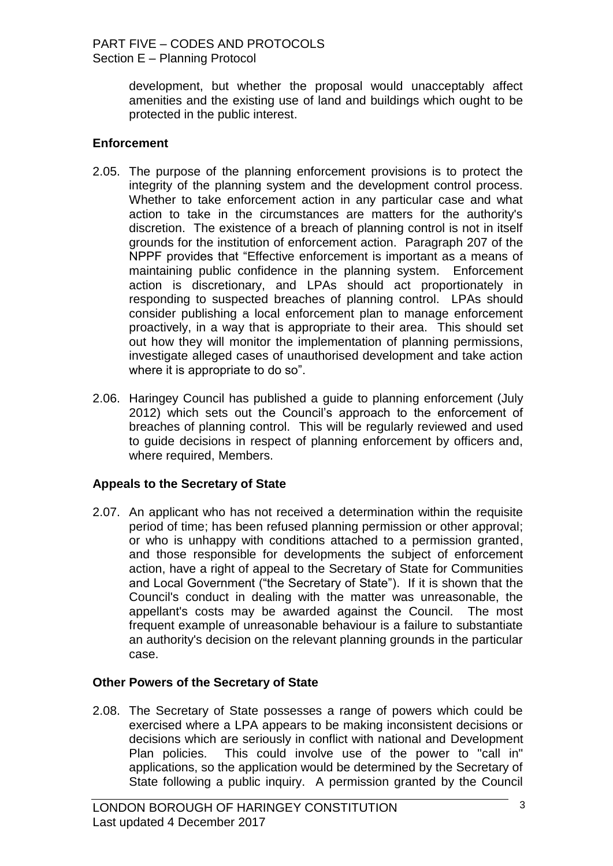development, but whether the proposal would unacceptably affect amenities and the existing use of land and buildings which ought to be protected in the public interest.

## **Enforcement**

- 2.05. The purpose of the planning enforcement provisions is to protect the integrity of the planning system and the development control process. Whether to take enforcement action in any particular case and what action to take in the circumstances are matters for the authority's discretion. The existence of a breach of planning control is not in itself grounds for the institution of enforcement action. Paragraph 207 of the NPPF provides that "Effective enforcement is important as a means of maintaining public confidence in the planning system. Enforcement action is discretionary, and LPAs should act proportionately in responding to suspected breaches of planning control. LPAs should consider publishing a local enforcement plan to manage enforcement proactively, in a way that is appropriate to their area. This should set out how they will monitor the implementation of planning permissions, investigate alleged cases of unauthorised development and take action where it is appropriate to do so".
- 2.06. Haringey Council has published a guide to planning enforcement (July 2012) which sets out the Council"s approach to the enforcement of breaches of planning control. This will be regularly reviewed and used to guide decisions in respect of planning enforcement by officers and, where required, Members.

## **Appeals to the Secretary of State**

2.07. An applicant who has not received a determination within the requisite period of time; has been refused planning permission or other approval; or who is unhappy with conditions attached to a permission granted, and those responsible for developments the subject of enforcement action, have a right of appeal to the Secretary of State for Communities and Local Government ("the Secretary of State"). If it is shown that the Council's conduct in dealing with the matter was unreasonable, the appellant's costs may be awarded against the Council. The most frequent example of unreasonable behaviour is a failure to substantiate an authority's decision on the relevant planning grounds in the particular case.

## **Other Powers of the Secretary of State**

2.08. The Secretary of State possesses a range of powers which could be exercised where a LPA appears to be making inconsistent decisions or decisions which are seriously in conflict with national and Development Plan policies. This could involve use of the power to "call in" applications, so the application would be determined by the Secretary of State following a public inquiry. A permission granted by the Council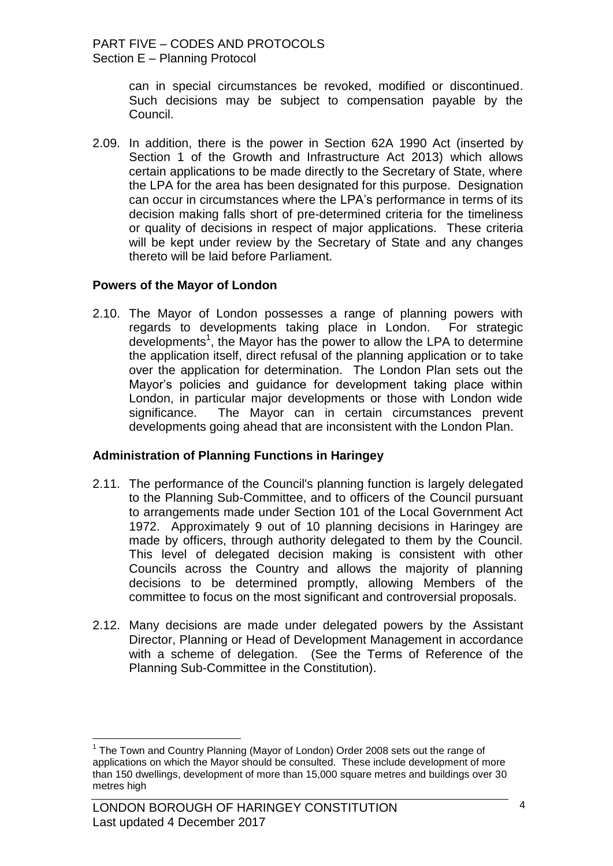can in special circumstances be revoked, modified or discontinued. Such decisions may be subject to compensation payable by the Council.

2.09. In addition, there is the power in Section 62A 1990 Act (inserted by Section 1 of the Growth and Infrastructure Act 2013) which allows certain applications to be made directly to the Secretary of State, where the LPA for the area has been designated for this purpose. Designation can occur in circumstances where the LPA"s performance in terms of its decision making falls short of pre-determined criteria for the timeliness or quality of decisions in respect of major applications. These criteria will be kept under review by the Secretary of State and any changes thereto will be laid before Parliament.

#### **Powers of the Mayor of London**

2.10. The Mayor of London possesses a range of planning powers with regards to developments taking place in London. For strategic developments<sup>1</sup>, the Mayor has the power to allow the LPA to determine the application itself, direct refusal of the planning application or to take over the application for determination. The London Plan sets out the Mayor"s policies and guidance for development taking place within London, in particular major developments or those with London wide significance. The Mayor can in certain circumstances prevent developments going ahead that are inconsistent with the London Plan.

## **Administration of Planning Functions in Haringey**

- 2.11. The performance of the Council's planning function is largely delegated to the Planning Sub-Committee, and to officers of the Council pursuant to arrangements made under Section 101 of the Local Government Act 1972. Approximately 9 out of 10 planning decisions in Haringey are made by officers, through authority delegated to them by the Council. This level of delegated decision making is consistent with other Councils across the Country and allows the majority of planning decisions to be determined promptly, allowing Members of the committee to focus on the most significant and controversial proposals.
- 2.12. Many decisions are made under delegated powers by the Assistant Director, Planning or Head of Development Management in accordance with a scheme of delegation. (See the Terms of Reference of the Planning Sub-Committee in the Constitution).

 $\overline{a}$ 

<sup>&</sup>lt;sup>1</sup> The Town and Country Planning (Mayor of London) Order 2008 sets out the range of applications on which the Mayor should be consulted. These include development of more than 150 dwellings, development of more than 15,000 square metres and buildings over 30 metres high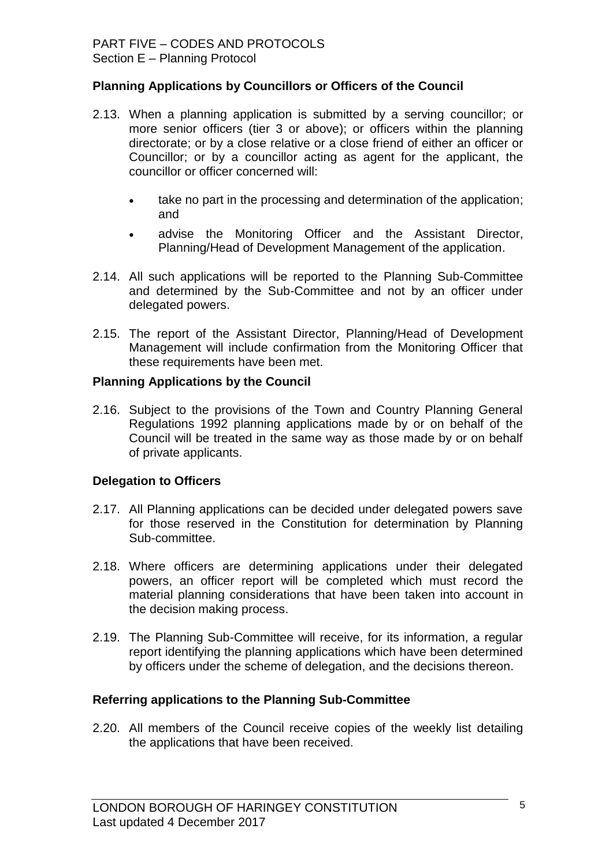### **Planning Applications by Councillors or Officers of the Council**

- 2.13. When a planning application is submitted by a serving councillor; or more senior officers (tier 3 or above); or officers within the planning directorate; or by a close relative or a close friend of either an officer or Councillor; or by a councillor acting as agent for the applicant, the councillor or officer concerned will:
	- take no part in the processing and determination of the application; and
	- advise the Monitoring Officer and the Assistant Director, Planning/Head of Development Management of the application.
- 2.14. All such applications will be reported to the Planning Sub-Committee and determined by the Sub-Committee and not by an officer under delegated powers.
- 2.15. The report of the Assistant Director, Planning/Head of Development Management will include confirmation from the Monitoring Officer that these requirements have been met.

#### **Planning Applications by the Council**

2.16. Subject to the provisions of the Town and Country Planning General Regulations 1992 planning applications made by or on behalf of the Council will be treated in the same way as those made by or on behalf of private applicants.

#### **Delegation to Officers**

- 2.17. All Planning applications can be decided under delegated powers save for those reserved in the Constitution for determination by Planning Sub-committee.
- 2.18. Where officers are determining applications under their delegated powers, an officer report will be completed which must record the material planning considerations that have been taken into account in the decision making process.
- 2.19. The Planning Sub-Committee will receive, for its information, a regular report identifying the planning applications which have been determined by officers under the scheme of delegation, and the decisions thereon.

#### **Referring applications to the Planning Sub-Committee**

2.20. All members of the Council receive copies of the weekly list detailing the applications that have been received.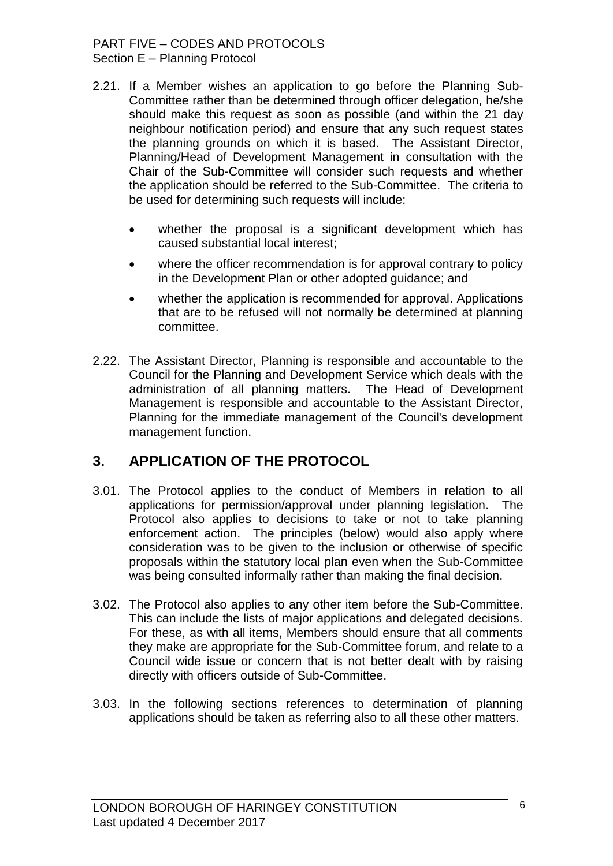#### PART FIVE – CODES AND PROTOCOLS Section E – Planning Protocol

- 2.21. If a Member wishes an application to go before the Planning Sub-Committee rather than be determined through officer delegation, he/she should make this request as soon as possible (and within the 21 day neighbour notification period) and ensure that any such request states the planning grounds on which it is based. The Assistant Director, Planning/Head of Development Management in consultation with the Chair of the Sub-Committee will consider such requests and whether the application should be referred to the Sub-Committee. The criteria to be used for determining such requests will include:
	- whether the proposal is a significant development which has caused substantial local interest;
	- where the officer recommendation is for approval contrary to policy in the Development Plan or other adopted guidance; and
	- whether the application is recommended for approval. Applications that are to be refused will not normally be determined at planning committee.
- 2.22. The Assistant Director, Planning is responsible and accountable to the Council for the Planning and Development Service which deals with the administration of all planning matters. The Head of Development Management is responsible and accountable to the Assistant Director, Planning for the immediate management of the Council's development management function.

# **3. APPLICATION OF THE PROTOCOL**

- 3.01. The Protocol applies to the conduct of Members in relation to all applications for permission/approval under planning legislation. The Protocol also applies to decisions to take or not to take planning enforcement action. The principles (below) would also apply where consideration was to be given to the inclusion or otherwise of specific proposals within the statutory local plan even when the Sub-Committee was being consulted informally rather than making the final decision.
- 3.02. The Protocol also applies to any other item before the Sub-Committee. This can include the lists of major applications and delegated decisions. For these, as with all items, Members should ensure that all comments they make are appropriate for the Sub-Committee forum, and relate to a Council wide issue or concern that is not better dealt with by raising directly with officers outside of Sub-Committee.
- 3.03. In the following sections references to determination of planning applications should be taken as referring also to all these other matters.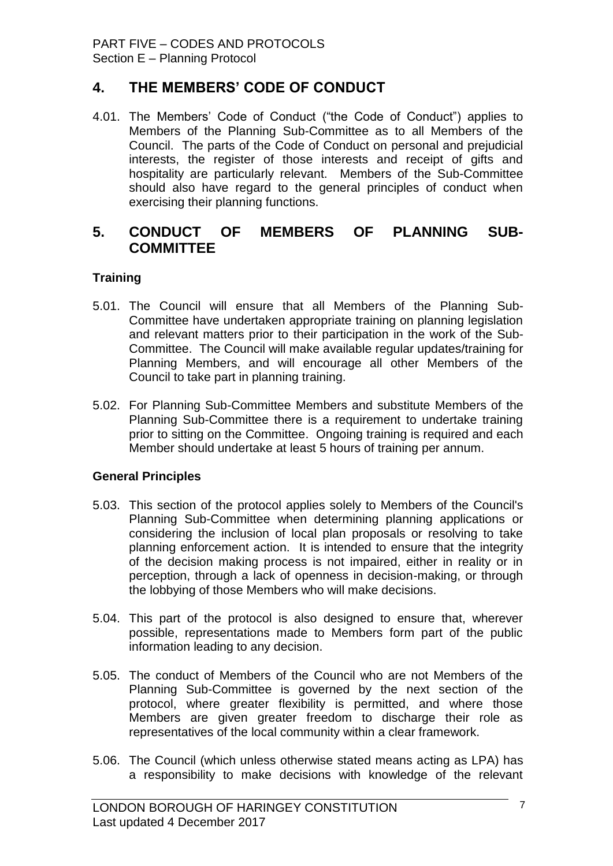## **4. THE MEMBERS' CODE OF CONDUCT**

4.01. The Members" Code of Conduct ("the Code of Conduct") applies to Members of the Planning Sub-Committee as to all Members of the Council. The parts of the Code of Conduct on personal and prejudicial interests, the register of those interests and receipt of gifts and hospitality are particularly relevant. Members of the Sub-Committee should also have regard to the general principles of conduct when exercising their planning functions.

## **5. CONDUCT OF MEMBERS OF PLANNING SUB-COMMITTEE**

## **Training**

- 5.01. The Council will ensure that all Members of the Planning Sub-Committee have undertaken appropriate training on planning legislation and relevant matters prior to their participation in the work of the Sub-Committee. The Council will make available regular updates/training for Planning Members, and will encourage all other Members of the Council to take part in planning training.
- 5.02. For Planning Sub-Committee Members and substitute Members of the Planning Sub-Committee there is a requirement to undertake training prior to sitting on the Committee. Ongoing training is required and each Member should undertake at least 5 hours of training per annum.

## **General Principles**

- 5.03. This section of the protocol applies solely to Members of the Council's Planning Sub-Committee when determining planning applications or considering the inclusion of local plan proposals or resolving to take planning enforcement action. It is intended to ensure that the integrity of the decision making process is not impaired, either in reality or in perception, through a lack of openness in decision-making, or through the lobbying of those Members who will make decisions.
- 5.04. This part of the protocol is also designed to ensure that, wherever possible, representations made to Members form part of the public information leading to any decision.
- 5.05. The conduct of Members of the Council who are not Members of the Planning Sub-Committee is governed by the next section of the protocol, where greater flexibility is permitted, and where those Members are given greater freedom to discharge their role as representatives of the local community within a clear framework.
- 5.06. The Council (which unless otherwise stated means acting as LPA) has a responsibility to make decisions with knowledge of the relevant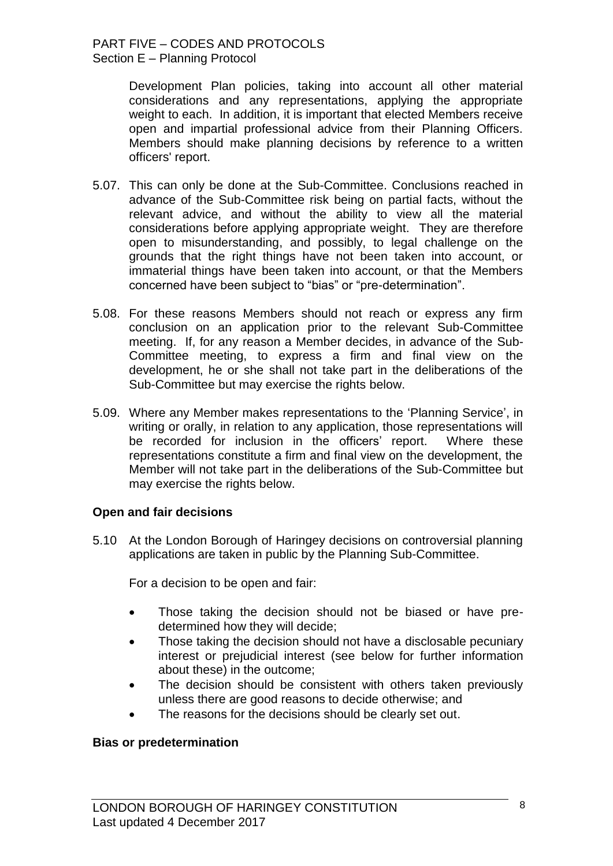Development Plan policies, taking into account all other material considerations and any representations, applying the appropriate weight to each. In addition, it is important that elected Members receive open and impartial professional advice from their Planning Officers. Members should make planning decisions by reference to a written officers' report.

- 5.07. This can only be done at the Sub-Committee. Conclusions reached in advance of the Sub-Committee risk being on partial facts, without the relevant advice, and without the ability to view all the material considerations before applying appropriate weight. They are therefore open to misunderstanding, and possibly, to legal challenge on the grounds that the right things have not been taken into account, or immaterial things have been taken into account, or that the Members concerned have been subject to "bias" or "pre-determination".
- 5.08. For these reasons Members should not reach or express any firm conclusion on an application prior to the relevant Sub-Committee meeting. If, for any reason a Member decides, in advance of the Sub-Committee meeting, to express a firm and final view on the development, he or she shall not take part in the deliberations of the Sub-Committee but may exercise the rights below.
- 5.09. Where any Member makes representations to the "Planning Service", in writing or orally, in relation to any application, those representations will be recorded for inclusion in the officers' report. Where these representations constitute a firm and final view on the development, the Member will not take part in the deliberations of the Sub-Committee but may exercise the rights below.

#### **Open and fair decisions**

5.10 At the London Borough of Haringey decisions on controversial planning applications are taken in public by the Planning Sub-Committee.

For a decision to be open and fair:

- Those taking the decision should not be biased or have predetermined how they will decide;
- Those taking the decision should not have a disclosable pecuniary interest or prejudicial interest (see below for further information about these) in the outcome;
- The decision should be consistent with others taken previously unless there are good reasons to decide otherwise; and
- The reasons for the decisions should be clearly set out.

#### **Bias or predetermination**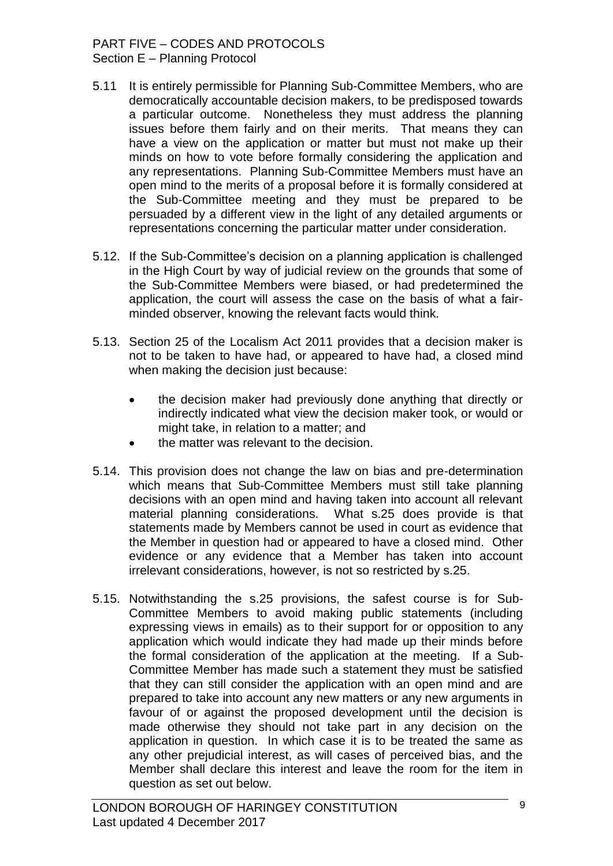#### PART FIVE – CODES AND PROTOCOLS Section E – Planning Protocol

- 5.11 It is entirely permissible for Planning Sub-Committee Members, who are democratically accountable decision makers, to be predisposed towards a particular outcome. Nonetheless they must address the planning issues before them fairly and on their merits. That means they can have a view on the application or matter but must not make up their minds on how to vote before formally considering the application and any representations. Planning Sub-Committee Members must have an open mind to the merits of a proposal before it is formally considered at the Sub-Committee meeting and they must be prepared to be persuaded by a different view in the light of any detailed arguments or representations concerning the particular matter under consideration.
- 5.12. If the Sub-Committee"s decision on a planning application is challenged in the High Court by way of judicial review on the grounds that some of the Sub-Committee Members were biased, or had predetermined the application, the court will assess the case on the basis of what a fairminded observer, knowing the relevant facts would think.
- 5.13. Section 25 of the Localism Act 2011 provides that a decision maker is not to be taken to have had, or appeared to have had, a closed mind when making the decision just because:
	- the decision maker had previously done anything that directly or indirectly indicated what view the decision maker took, or would or might take, in relation to a matter; and
	- the matter was relevant to the decision.
- 5.14. This provision does not change the law on bias and pre-determination which means that Sub-Committee Members must still take planning decisions with an open mind and having taken into account all relevant material planning considerations. What s.25 does provide is that statements made by Members cannot be used in court as evidence that the Member in question had or appeared to have a closed mind. Other evidence or any evidence that a Member has taken into account irrelevant considerations, however, is not so restricted by s.25.
- 5.15. Notwithstanding the s.25 provisions, the safest course is for Sub-Committee Members to avoid making public statements (including expressing views in emails) as to their support for or opposition to any application which would indicate they had made up their minds before the formal consideration of the application at the meeting. If a Sub-Committee Member has made such a statement they must be satisfied that they can still consider the application with an open mind and are prepared to take into account any new matters or any new arguments in favour of or against the proposed development until the decision is made otherwise they should not take part in any decision on the application in question. In which case it is to be treated the same as any other prejudicial interest, as will cases of perceived bias, and the Member shall declare this interest and leave the room for the item in question as set out below.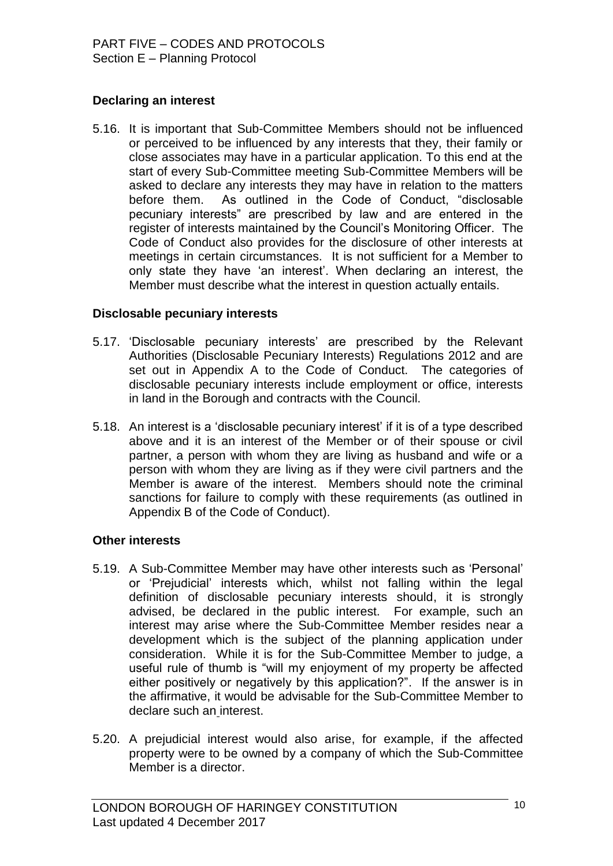## **Declaring an interest**

5.16. It is important that Sub-Committee Members should not be influenced or perceived to be influenced by any interests that they, their family or close associates may have in a particular application. To this end at the start of every Sub-Committee meeting Sub-Committee Members will be asked to declare any interests they may have in relation to the matters before them. As outlined in the Code of Conduct, "disclosable pecuniary interests" are prescribed by law and are entered in the register of interests maintained by the Council"s Monitoring Officer. The Code of Conduct also provides for the disclosure of other interests at meetings in certain circumstances. It is not sufficient for a Member to only state they have "an interest". When declaring an interest, the Member must describe what the interest in question actually entails.

#### **Disclosable pecuniary interests**

- 5.17. "Disclosable pecuniary interests" are prescribed by the Relevant Authorities (Disclosable Pecuniary Interests) Regulations 2012 and are set out in Appendix A to the Code of Conduct. The categories of disclosable pecuniary interests include employment or office, interests in land in the Borough and contracts with the Council.
- 5.18. An interest is a "disclosable pecuniary interest" if it is of a type described above and it is an interest of the Member or of their spouse or civil partner, a person with whom they are living as husband and wife or a person with whom they are living as if they were civil partners and the Member is aware of the interest. Members should note the criminal sanctions for failure to comply with these requirements (as outlined in Appendix B of the Code of Conduct).

## **Other interests**

- 5.19. A Sub-Committee Member may have other interests such as "Personal" or "Prejudicial" interests which, whilst not falling within the legal definition of disclosable pecuniary interests should, it is strongly advised, be declared in the public interest. For example, such an interest may arise where the Sub-Committee Member resides near a development which is the subject of the planning application under consideration. While it is for the Sub-Committee Member to judge, a useful rule of thumb is "will my enjoyment of my property be affected either positively or negatively by this application?". If the answer is in the affirmative, it would be advisable for the Sub-Committee Member to declare such an interest.
- 5.20. A prejudicial interest would also arise, for example, if the affected property were to be owned by a company of which the Sub-Committee Member is a director.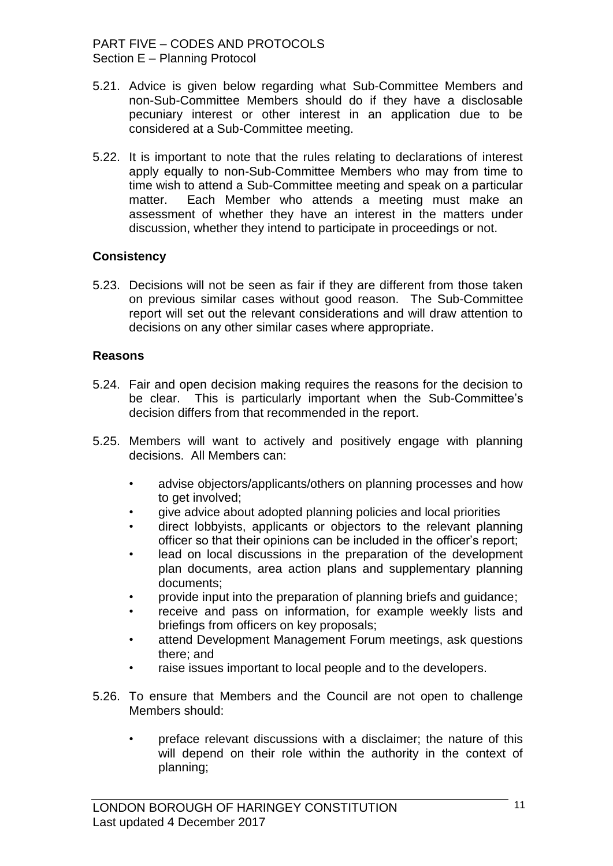#### PART FIVE – CODES AND PROTOCOLS Section E – Planning Protocol

- 5.21. Advice is given below regarding what Sub-Committee Members and non-Sub-Committee Members should do if they have a disclosable pecuniary interest or other interest in an application due to be considered at a Sub-Committee meeting.
- 5.22. It is important to note that the rules relating to declarations of interest apply equally to non-Sub-Committee Members who may from time to time wish to attend a Sub-Committee meeting and speak on a particular matter. Each Member who attends a meeting must make an assessment of whether they have an interest in the matters under discussion, whether they intend to participate in proceedings or not.

#### **Consistency**

5.23. Decisions will not be seen as fair if they are different from those taken on previous similar cases without good reason. The Sub-Committee report will set out the relevant considerations and will draw attention to decisions on any other similar cases where appropriate.

#### **Reasons**

- 5.24. Fair and open decision making requires the reasons for the decision to be clear. This is particularly important when the Sub-Committee's decision differs from that recommended in the report.
- 5.25. Members will want to actively and positively engage with planning decisions. All Members can:
	- advise objectors/applicants/others on planning processes and how to get involved;
	- give advice about adopted planning policies and local priorities
	- direct lobbyists, applicants or objectors to the relevant planning officer so that their opinions can be included in the officer"s report;
	- lead on local discussions in the preparation of the development plan documents, area action plans and supplementary planning documents;
	- provide input into the preparation of planning briefs and guidance;
	- receive and pass on information, for example weekly lists and briefings from officers on key proposals;
	- attend Development Management Forum meetings, ask questions there; and
	- raise issues important to local people and to the developers.
- 5.26. To ensure that Members and the Council are not open to challenge Members should:
	- preface relevant discussions with a disclaimer; the nature of this will depend on their role within the authority in the context of planning;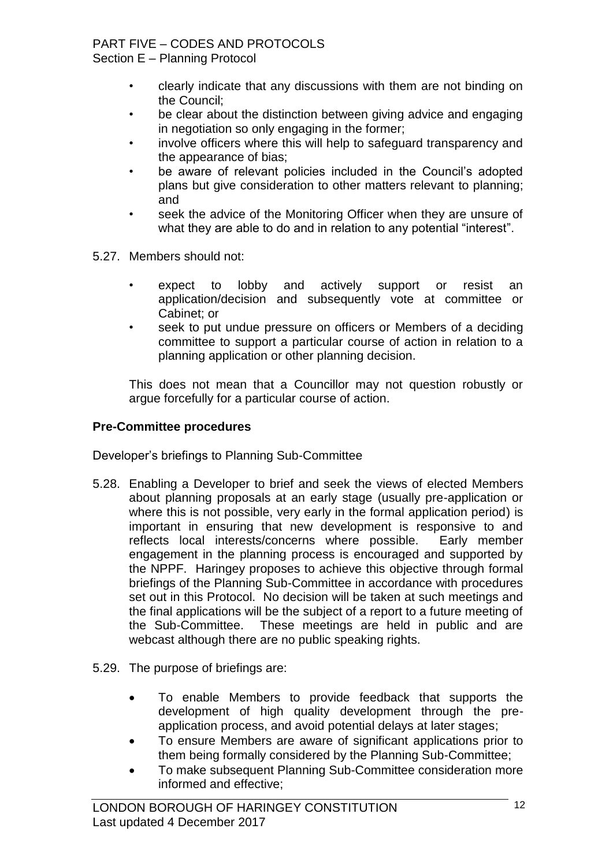### PART FIVE – CODES AND PROTOCOLS

Section E – Planning Protocol

- clearly indicate that any discussions with them are not binding on the Council;
- be clear about the distinction between giving advice and engaging in negotiation so only engaging in the former;
- involve officers where this will help to safeguard transparency and the appearance of bias;
- be aware of relevant policies included in the Council's adopted plans but give consideration to other matters relevant to planning; and
- seek the advice of the Monitoring Officer when they are unsure of what they are able to do and in relation to any potential "interest".
- 5.27. Members should not:
	- expect to lobby and actively support or resist an application/decision and subsequently vote at committee or Cabinet; or
	- seek to put undue pressure on officers or Members of a deciding committee to support a particular course of action in relation to a planning application or other planning decision.

This does not mean that a Councillor may not question robustly or argue forcefully for a particular course of action.

## **Pre-Committee procedures**

Developer"s briefings to Planning Sub-Committee

- 5.28. Enabling a Developer to brief and seek the views of elected Members about planning proposals at an early stage (usually pre-application or where this is not possible, very early in the formal application period) is important in ensuring that new development is responsive to and reflects local interests/concerns where possible. Early member engagement in the planning process is encouraged and supported by the NPPF. Haringey proposes to achieve this objective through formal briefings of the Planning Sub-Committee in accordance with procedures set out in this Protocol. No decision will be taken at such meetings and the final applications will be the subject of a report to a future meeting of the Sub-Committee. These meetings are held in public and are webcast although there are no public speaking rights.
- 5.29. The purpose of briefings are:
	- To enable Members to provide feedback that supports the development of high quality development through the preapplication process, and avoid potential delays at later stages;
	- To ensure Members are aware of significant applications prior to them being formally considered by the Planning Sub-Committee;
	- To make subsequent Planning Sub-Committee consideration more informed and effective;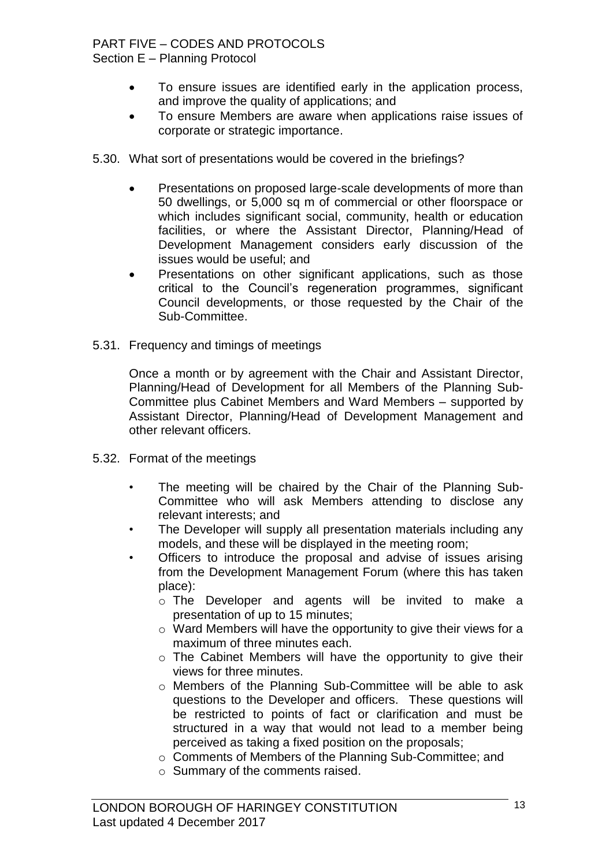# PART FIVE – CODES AND PROTOCOLS

Section E – Planning Protocol

- To ensure issues are identified early in the application process, and improve the quality of applications; and
- To ensure Members are aware when applications raise issues of corporate or strategic importance.
- 5.30. What sort of presentations would be covered in the briefings?
	- Presentations on proposed large-scale developments of more than 50 dwellings, or 5,000 sq m of commercial or other floorspace or which includes significant social, community, health or education facilities, or where the Assistant Director, Planning/Head of Development Management considers early discussion of the issues would be useful; and
	- Presentations on other significant applications, such as those critical to the Council"s regeneration programmes, significant Council developments, or those requested by the Chair of the Sub-Committee.
- 5.31. Frequency and timings of meetings

Once a month or by agreement with the Chair and Assistant Director, Planning/Head of Development for all Members of the Planning Sub-Committee plus Cabinet Members and Ward Members – supported by Assistant Director, Planning/Head of Development Management and other relevant officers.

- 5.32. Format of the meetings
	- The meeting will be chaired by the Chair of the Planning Sub-Committee who will ask Members attending to disclose any relevant interests; and
	- The Developer will supply all presentation materials including any models, and these will be displayed in the meeting room;
	- Officers to introduce the proposal and advise of issues arising from the Development Management Forum (where this has taken place):
		- o The Developer and agents will be invited to make a presentation of up to 15 minutes;
		- o Ward Members will have the opportunity to give their views for a maximum of three minutes each.
		- o The Cabinet Members will have the opportunity to give their views for three minutes.
		- o Members of the Planning Sub-Committee will be able to ask questions to the Developer and officers. These questions will be restricted to points of fact or clarification and must be structured in a way that would not lead to a member being perceived as taking a fixed position on the proposals;
		- o Comments of Members of the Planning Sub-Committee; and
		- o Summary of the comments raised.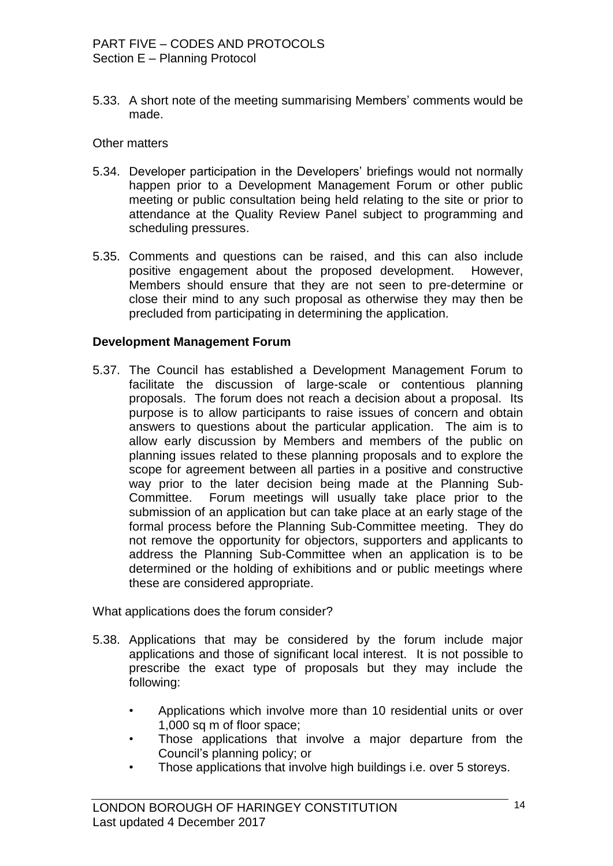5.33. A short note of the meeting summarising Members" comments would be made.

#### Other matters

- 5.34. Developer participation in the Developers' briefings would not normally happen prior to a Development Management Forum or other public meeting or public consultation being held relating to the site or prior to attendance at the Quality Review Panel subject to programming and scheduling pressures.
- 5.35. Comments and questions can be raised, and this can also include positive engagement about the proposed development. However, Members should ensure that they are not seen to pre-determine or close their mind to any such proposal as otherwise they may then be precluded from participating in determining the application.

#### **Development Management Forum**

5.37. The Council has established a Development Management Forum to facilitate the discussion of large-scale or contentious planning proposals. The forum does not reach a decision about a proposal. Its purpose is to allow participants to raise issues of concern and obtain answers to questions about the particular application. The aim is to allow early discussion by Members and members of the public on planning issues related to these planning proposals and to explore the scope for agreement between all parties in a positive and constructive way prior to the later decision being made at the Planning Sub-Committee. Forum meetings will usually take place prior to the submission of an application but can take place at an early stage of the formal process before the Planning Sub-Committee meeting. They do not remove the opportunity for objectors, supporters and applicants to address the Planning Sub-Committee when an application is to be determined or the holding of exhibitions and or public meetings where these are considered appropriate.

What applications does the forum consider?

- 5.38. Applications that may be considered by the forum include major applications and those of significant local interest. It is not possible to prescribe the exact type of proposals but they may include the following:
	- Applications which involve more than 10 residential units or over 1,000 sq m of floor space;
	- Those applications that involve a major departure from the Council"s planning policy; or
	- Those applications that involve high buildings i.e. over 5 storeys.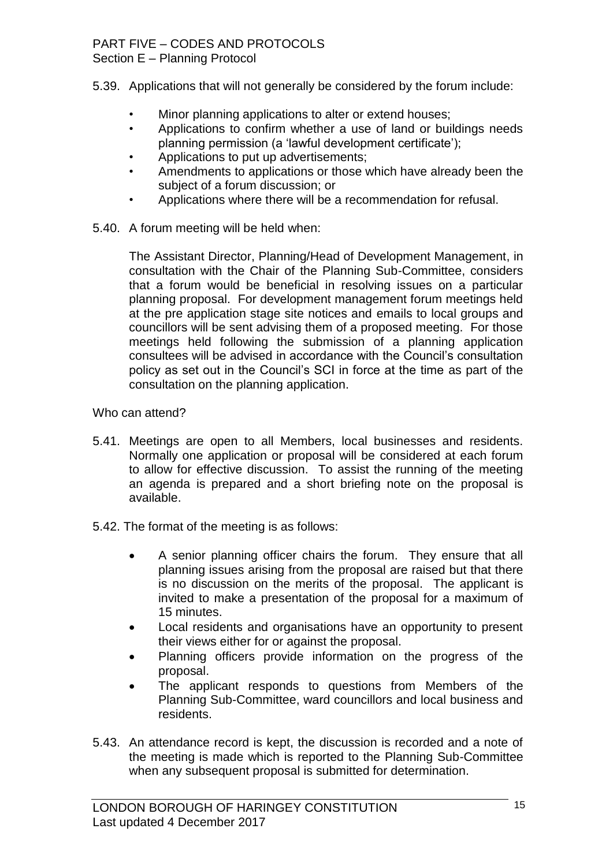# PART FIVE – CODES AND PROTOCOLS

Section E – Planning Protocol

- 5.39. Applications that will not generally be considered by the forum include:
	- Minor planning applications to alter or extend houses;
	- Applications to confirm whether a use of land or buildings needs planning permission (a "lawful development certificate");
	- Applications to put up advertisements;
	- Amendments to applications or those which have already been the subject of a forum discussion; or
	- Applications where there will be a recommendation for refusal.
- 5.40. A forum meeting will be held when:

The Assistant Director, Planning/Head of Development Management, in consultation with the Chair of the Planning Sub-Committee, considers that a forum would be beneficial in resolving issues on a particular planning proposal. For development management forum meetings held at the pre application stage site notices and emails to local groups and councillors will be sent advising them of a proposed meeting. For those meetings held following the submission of a planning application consultees will be advised in accordance with the Council"s consultation policy as set out in the Council"s SCI in force at the time as part of the consultation on the planning application.

Who can attend?

- 5.41. Meetings are open to all Members, local businesses and residents. Normally one application or proposal will be considered at each forum to allow for effective discussion. To assist the running of the meeting an agenda is prepared and a short briefing note on the proposal is available.
- 5.42. The format of the meeting is as follows:
	- A senior planning officer chairs the forum. They ensure that all planning issues arising from the proposal are raised but that there is no discussion on the merits of the proposal. The applicant is invited to make a presentation of the proposal for a maximum of 15 minutes.
	- Local residents and organisations have an opportunity to present their views either for or against the proposal.
	- Planning officers provide information on the progress of the proposal.
	- The applicant responds to questions from Members of the Planning Sub-Committee, ward councillors and local business and residents.
- 5.43. An attendance record is kept, the discussion is recorded and a note of the meeting is made which is reported to the Planning Sub-Committee when any subsequent proposal is submitted for determination.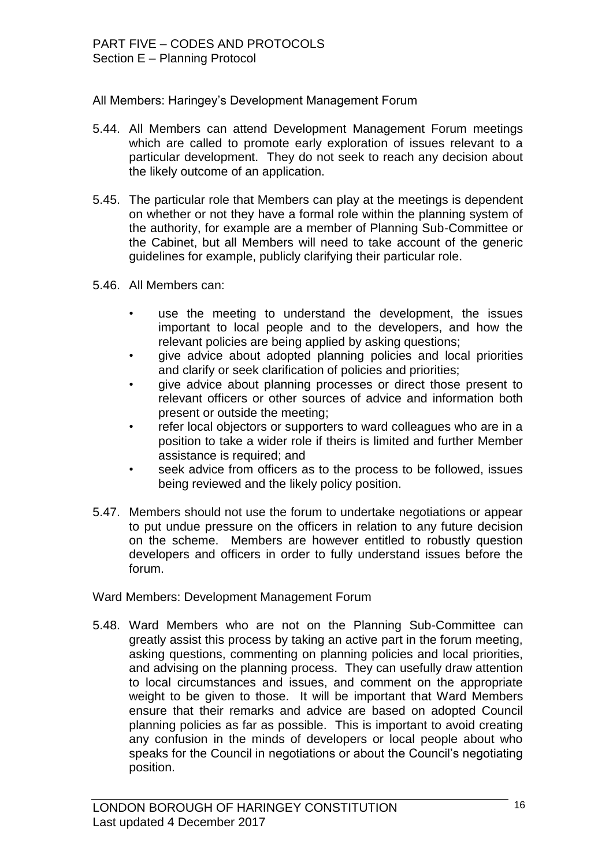All Members: Haringey"s Development Management Forum

- 5.44. All Members can attend Development Management Forum meetings which are called to promote early exploration of issues relevant to a particular development. They do not seek to reach any decision about the likely outcome of an application.
- 5.45. The particular role that Members can play at the meetings is dependent on whether or not they have a formal role within the planning system of the authority, for example are a member of Planning Sub-Committee or the Cabinet, but all Members will need to take account of the generic guidelines for example, publicly clarifying their particular role.
- 5.46. All Members can:
	- use the meeting to understand the development, the issues important to local people and to the developers, and how the relevant policies are being applied by asking questions;
	- give advice about adopted planning policies and local priorities and clarify or seek clarification of policies and priorities;
	- give advice about planning processes or direct those present to relevant officers or other sources of advice and information both present or outside the meeting;
	- refer local objectors or supporters to ward colleagues who are in a position to take a wider role if theirs is limited and further Member assistance is required; and
	- seek advice from officers as to the process to be followed, issues being reviewed and the likely policy position.
- 5.47. Members should not use the forum to undertake negotiations or appear to put undue pressure on the officers in relation to any future decision on the scheme. Members are however entitled to robustly question developers and officers in order to fully understand issues before the forum.

Ward Members: Development Management Forum

5.48. Ward Members who are not on the Planning Sub-Committee can greatly assist this process by taking an active part in the forum meeting, asking questions, commenting on planning policies and local priorities, and advising on the planning process. They can usefully draw attention to local circumstances and issues, and comment on the appropriate weight to be given to those. It will be important that Ward Members ensure that their remarks and advice are based on adopted Council planning policies as far as possible. This is important to avoid creating any confusion in the minds of developers or local people about who speaks for the Council in negotiations or about the Council"s negotiating position.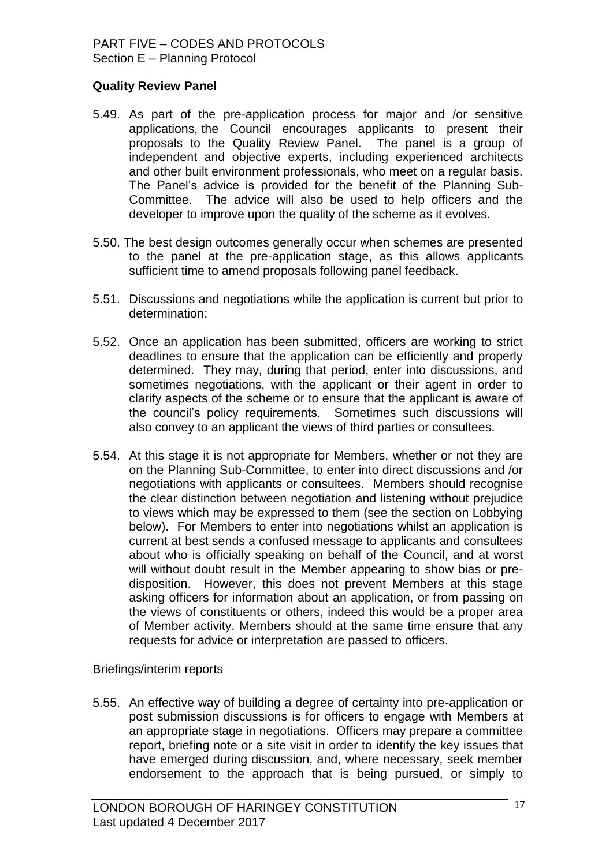#### **Quality Review Panel**

- 5.49. As part of the pre-application process for major and /or sensitive applications, the Council encourages applicants to present their proposals to the Quality Review Panel. The panel is a group of independent and objective experts, including experienced architects and other built environment professionals, who meet on a regular basis. The Panel"s advice is provided for the benefit of the Planning Sub-Committee. The advice will also be used to help officers and the developer to improve upon the quality of the scheme as it evolves.
- 5.50. The best design outcomes generally occur when schemes are presented to the panel at the pre-application stage, as this allows applicants sufficient time to amend proposals following panel feedback.
- 5.51. Discussions and negotiations while the application is current but prior to determination:
- 5.52. Once an application has been submitted, officers are working to strict deadlines to ensure that the application can be efficiently and properly determined. They may, during that period, enter into discussions, and sometimes negotiations, with the applicant or their agent in order to clarify aspects of the scheme or to ensure that the applicant is aware of the council"s policy requirements. Sometimes such discussions will also convey to an applicant the views of third parties or consultees.
- 5.54. At this stage it is not appropriate for Members, whether or not they are on the Planning Sub-Committee, to enter into direct discussions and /or negotiations with applicants or consultees. Members should recognise the clear distinction between negotiation and listening without prejudice to views which may be expressed to them (see the section on Lobbying below). For Members to enter into negotiations whilst an application is current at best sends a confused message to applicants and consultees about who is officially speaking on behalf of the Council, and at worst will without doubt result in the Member appearing to show bias or predisposition. However, this does not prevent Members at this stage asking officers for information about an application, or from passing on the views of constituents or others, indeed this would be a proper area of Member activity. Members should at the same time ensure that any requests for advice or interpretation are passed to officers.

Briefings/interim reports

5.55. An effective way of building a degree of certainty into pre-application or post submission discussions is for officers to engage with Members at an appropriate stage in negotiations. Officers may prepare a committee report, briefing note or a site visit in order to identify the key issues that have emerged during discussion, and, where necessary, seek member endorsement to the approach that is being pursued, or simply to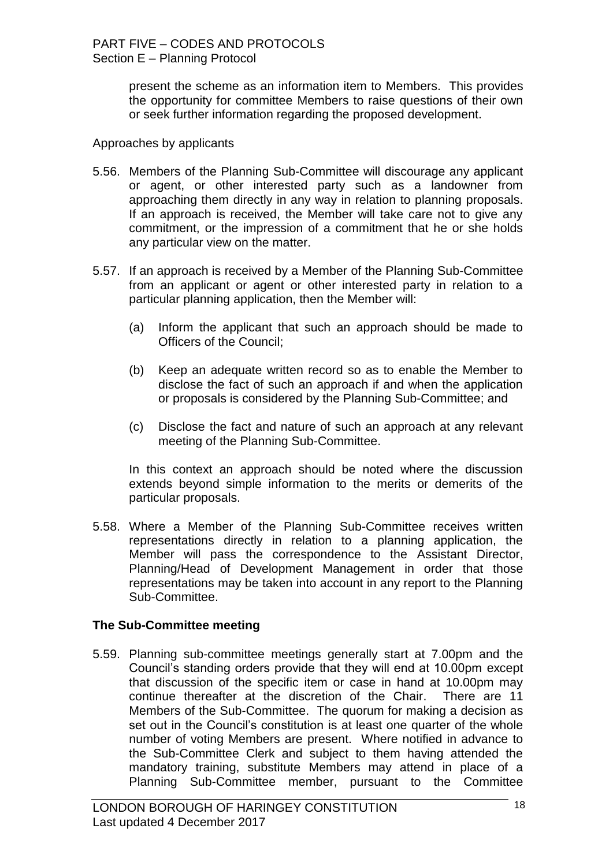present the scheme as an information item to Members. This provides the opportunity for committee Members to raise questions of their own or seek further information regarding the proposed development.

#### Approaches by applicants

- 5.56. Members of the Planning Sub-Committee will discourage any applicant or agent, or other interested party such as a landowner from approaching them directly in any way in relation to planning proposals. If an approach is received, the Member will take care not to give any commitment, or the impression of a commitment that he or she holds any particular view on the matter.
- 5.57. If an approach is received by a Member of the Planning Sub-Committee from an applicant or agent or other interested party in relation to a particular planning application, then the Member will:
	- (a) Inform the applicant that such an approach should be made to Officers of the Council;
	- (b) Keep an adequate written record so as to enable the Member to disclose the fact of such an approach if and when the application or proposals is considered by the Planning Sub-Committee; and
	- (c) Disclose the fact and nature of such an approach at any relevant meeting of the Planning Sub-Committee.

In this context an approach should be noted where the discussion extends beyond simple information to the merits or demerits of the particular proposals.

5.58. Where a Member of the Planning Sub-Committee receives written representations directly in relation to a planning application, the Member will pass the correspondence to the Assistant Director, Planning/Head of Development Management in order that those representations may be taken into account in any report to the Planning Sub-Committee.

#### **The Sub-Committee meeting**

5.59. Planning sub-committee meetings generally start at 7.00pm and the Council"s standing orders provide that they will end at 10.00pm except that discussion of the specific item or case in hand at 10.00pm may continue thereafter at the discretion of the Chair. There are 11 Members of the Sub-Committee. The quorum for making a decision as set out in the Council's constitution is at least one quarter of the whole number of voting Members are present. Where notified in advance to the Sub-Committee Clerk and subject to them having attended the mandatory training, substitute Members may attend in place of a Planning Sub-Committee member, pursuant to the Committee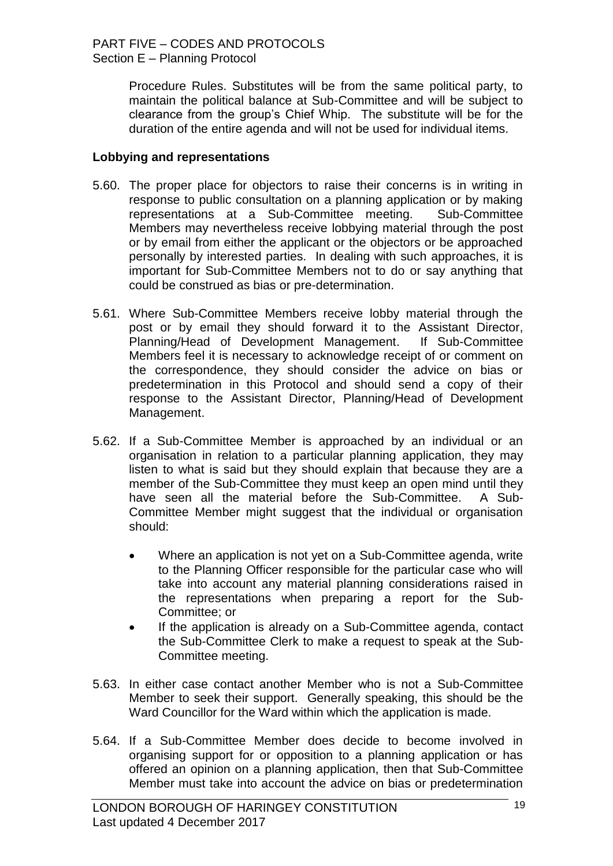Procedure Rules. Substitutes will be from the same political party, to maintain the political balance at Sub-Committee and will be subject to clearance from the group"s Chief Whip. The substitute will be for the duration of the entire agenda and will not be used for individual items.

#### **Lobbying and representations**

- 5.60. The proper place for objectors to raise their concerns is in writing in response to public consultation on a planning application or by making representations at a Sub-Committee meeting. Sub-Committee Members may nevertheless receive lobbying material through the post or by email from either the applicant or the objectors or be approached personally by interested parties. In dealing with such approaches, it is important for Sub-Committee Members not to do or say anything that could be construed as bias or pre-determination.
- 5.61. Where Sub-Committee Members receive lobby material through the post or by email they should forward it to the Assistant Director, Planning/Head of Development Management. If Sub-Committee Members feel it is necessary to acknowledge receipt of or comment on the correspondence, they should consider the advice on bias or predetermination in this Protocol and should send a copy of their response to the Assistant Director, Planning/Head of Development Management.
- 5.62. If a Sub-Committee Member is approached by an individual or an organisation in relation to a particular planning application, they may listen to what is said but they should explain that because they are a member of the Sub-Committee they must keep an open mind until they have seen all the material before the Sub-Committee. A Sub-Committee Member might suggest that the individual or organisation should:
	- Where an application is not yet on a Sub-Committee agenda, write to the Planning Officer responsible for the particular case who will take into account any material planning considerations raised in the representations when preparing a report for the Sub-Committee; or
	- If the application is already on a Sub-Committee agenda, contact the Sub-Committee Clerk to make a request to speak at the Sub-Committee meeting.
- 5.63. In either case contact another Member who is not a Sub-Committee Member to seek their support. Generally speaking, this should be the Ward Councillor for the Ward within which the application is made.
- 5.64. If a Sub-Committee Member does decide to become involved in organising support for or opposition to a planning application or has offered an opinion on a planning application, then that Sub-Committee Member must take into account the advice on bias or predetermination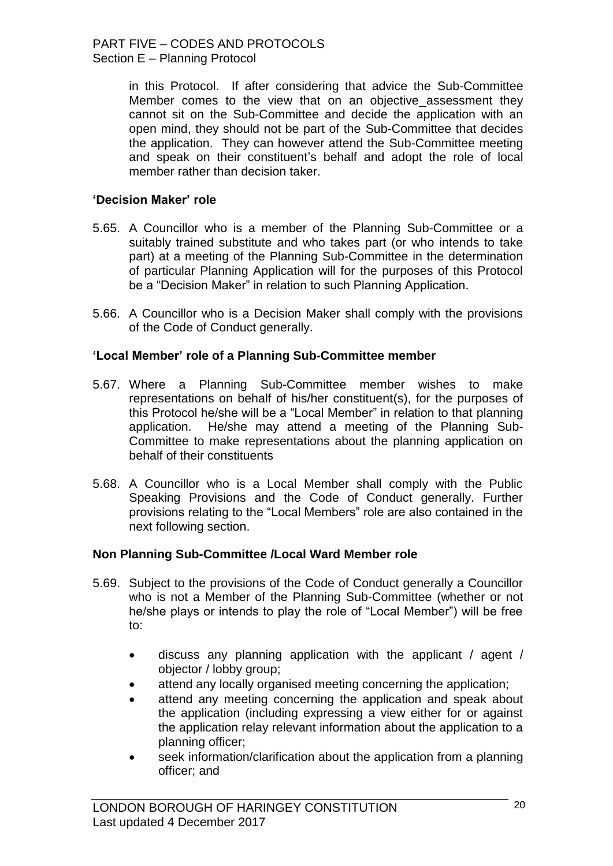in this Protocol. If after considering that advice the Sub-Committee Member comes to the view that on an objective assessment they cannot sit on the Sub-Committee and decide the application with an open mind, they should not be part of the Sub-Committee that decides the application. They can however attend the Sub-Committee meeting and speak on their constituent"s behalf and adopt the role of local member rather than decision taker.

#### **'Decision Maker' role**

- 5.65. A Councillor who is a member of the Planning Sub-Committee or a suitably trained substitute and who takes part (or who intends to take part) at a meeting of the Planning Sub-Committee in the determination of particular Planning Application will for the purposes of this Protocol be a "Decision Maker" in relation to such Planning Application.
- 5.66. A Councillor who is a Decision Maker shall comply with the provisions of the Code of Conduct generally.

#### **'Local Member' role of a Planning Sub-Committee member**

- 5.67. Where a Planning Sub-Committee member wishes to make representations on behalf of his/her constituent(s), for the purposes of this Protocol he/she will be a "Local Member" in relation to that planning application. He/she may attend a meeting of the Planning Sub-Committee to make representations about the planning application on behalf of their constituents
- 5.68. A Councillor who is a Local Member shall comply with the Public Speaking Provisions and the Code of Conduct generally. Further provisions relating to the "Local Members" role are also contained in the next following section.

#### **Non Planning Sub-Committee /Local Ward Member role**

- 5.69. Subject to the provisions of the Code of Conduct generally a Councillor who is not a Member of the Planning Sub-Committee (whether or not he/she plays or intends to play the role of "Local Member") will be free to:
	- discuss any planning application with the applicant / agent / objector / lobby group;
	- attend any locally organised meeting concerning the application;
	- attend any meeting concerning the application and speak about the application (including expressing a view either for or against the application relay relevant information about the application to a planning officer;
	- seek information/clarification about the application from a planning officer; and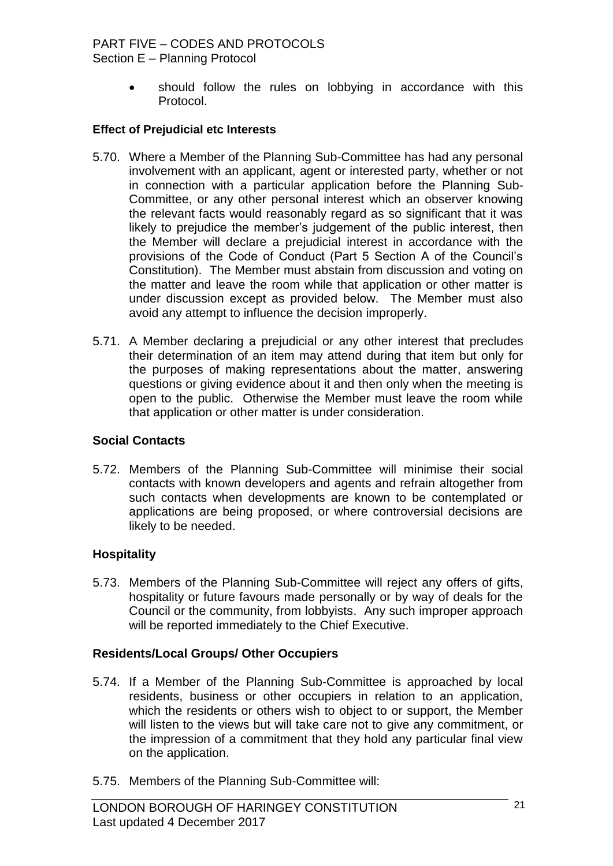# PART FIVE – CODES AND PROTOCOLS

Section E – Planning Protocol

 should follow the rules on lobbying in accordance with this Protocol.

#### **Effect of Prejudicial etc Interests**

- 5.70. Where a Member of the Planning Sub-Committee has had any personal involvement with an applicant, agent or interested party, whether or not in connection with a particular application before the Planning Sub-Committee, or any other personal interest which an observer knowing the relevant facts would reasonably regard as so significant that it was likely to prejudice the member"s judgement of the public interest, then the Member will declare a prejudicial interest in accordance with the provisions of the Code of Conduct (Part 5 Section A of the Council"s Constitution). The Member must abstain from discussion and voting on the matter and leave the room while that application or other matter is under discussion except as provided below. The Member must also avoid any attempt to influence the decision improperly.
- 5.71. A Member declaring a prejudicial or any other interest that precludes their determination of an item may attend during that item but only for the purposes of making representations about the matter, answering questions or giving evidence about it and then only when the meeting is open to the public. Otherwise the Member must leave the room while that application or other matter is under consideration.

## **Social Contacts**

5.72. Members of the Planning Sub-Committee will minimise their social contacts with known developers and agents and refrain altogether from such contacts when developments are known to be contemplated or applications are being proposed, or where controversial decisions are likely to be needed.

## **Hospitality**

5.73. Members of the Planning Sub-Committee will reject any offers of gifts, hospitality or future favours made personally or by way of deals for the Council or the community, from lobbyists. Any such improper approach will be reported immediately to the Chief Executive.

#### **Residents/Local Groups/ Other Occupiers**

- 5.74. If a Member of the Planning Sub-Committee is approached by local residents, business or other occupiers in relation to an application, which the residents or others wish to object to or support, the Member will listen to the views but will take care not to give any commitment, or the impression of a commitment that they hold any particular final view on the application.
- 5.75. Members of the Planning Sub-Committee will: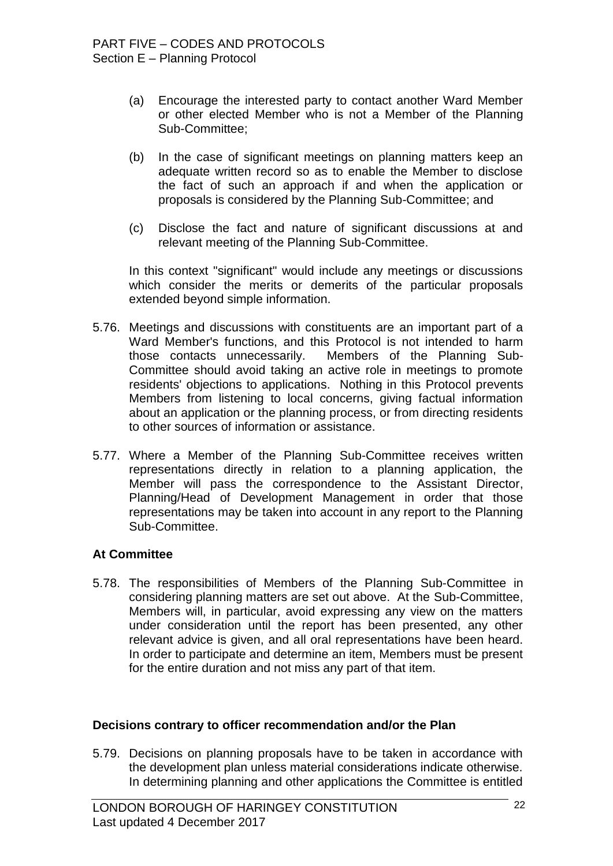- (a) Encourage the interested party to contact another Ward Member or other elected Member who is not a Member of the Planning Sub-Committee;
- (b) In the case of significant meetings on planning matters keep an adequate written record so as to enable the Member to disclose the fact of such an approach if and when the application or proposals is considered by the Planning Sub-Committee; and
- (c) Disclose the fact and nature of significant discussions at and relevant meeting of the Planning Sub-Committee.

In this context "significant" would include any meetings or discussions which consider the merits or demerits of the particular proposals extended beyond simple information.

- 5.76. Meetings and discussions with constituents are an important part of a Ward Member's functions, and this Protocol is not intended to harm those contacts unnecessarily. Members of the Planning Sub-Committee should avoid taking an active role in meetings to promote residents' objections to applications. Nothing in this Protocol prevents Members from listening to local concerns, giving factual information about an application or the planning process, or from directing residents to other sources of information or assistance.
- 5.77. Where a Member of the Planning Sub-Committee receives written representations directly in relation to a planning application, the Member will pass the correspondence to the Assistant Director, Planning/Head of Development Management in order that those representations may be taken into account in any report to the Planning Sub-Committee.

#### **At Committee**

5.78. The responsibilities of Members of the Planning Sub-Committee in considering planning matters are set out above. At the Sub-Committee, Members will, in particular, avoid expressing any view on the matters under consideration until the report has been presented, any other relevant advice is given, and all oral representations have been heard. In order to participate and determine an item, Members must be present for the entire duration and not miss any part of that item.

#### **Decisions contrary to officer recommendation and/or the Plan**

5.79. Decisions on planning proposals have to be taken in accordance with the development plan unless material considerations indicate otherwise. In determining planning and other applications the Committee is entitled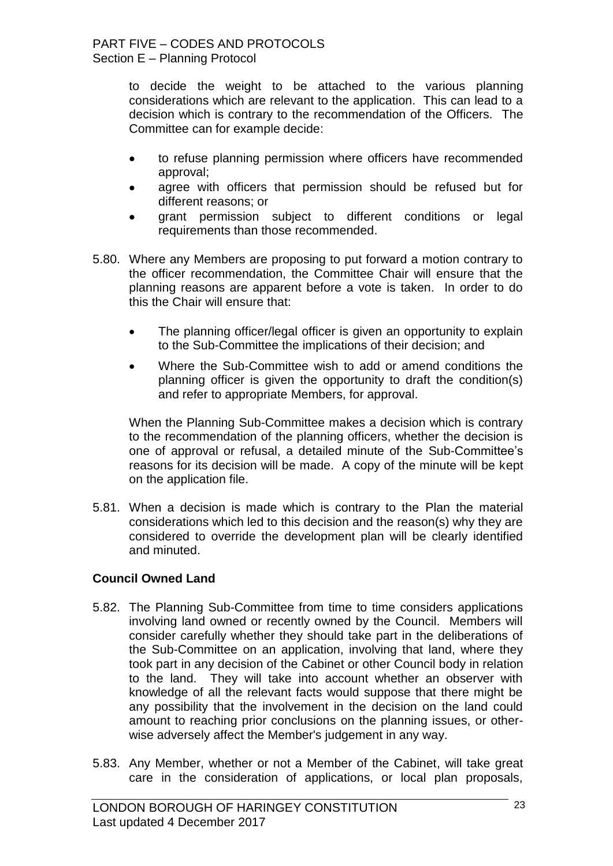to decide the weight to be attached to the various planning considerations which are relevant to the application. This can lead to a decision which is contrary to the recommendation of the Officers. The Committee can for example decide:

- to refuse planning permission where officers have recommended approval;
- agree with officers that permission should be refused but for different reasons; or
- grant permission subject to different conditions or legal requirements than those recommended.
- 5.80. Where any Members are proposing to put forward a motion contrary to the officer recommendation, the Committee Chair will ensure that the planning reasons are apparent before a vote is taken. In order to do this the Chair will ensure that:
	- The planning officer/legal officer is given an opportunity to explain to the Sub-Committee the implications of their decision; and
	- Where the Sub-Committee wish to add or amend conditions the planning officer is given the opportunity to draft the condition(s) and refer to appropriate Members, for approval.

When the Planning Sub-Committee makes a decision which is contrary to the recommendation of the planning officers, whether the decision is one of approval or refusal, a detailed minute of the Sub-Committee"s reasons for its decision will be made. A copy of the minute will be kept on the application file.

5.81. When a decision is made which is contrary to the Plan the material considerations which led to this decision and the reason(s) why they are considered to override the development plan will be clearly identified and minuted.

## **Council Owned Land**

- 5.82. The Planning Sub-Committee from time to time considers applications involving land owned or recently owned by the Council. Members will consider carefully whether they should take part in the deliberations of the Sub-Committee on an application, involving that land, where they took part in any decision of the Cabinet or other Council body in relation to the land. They will take into account whether an observer with knowledge of all the relevant facts would suppose that there might be any possibility that the involvement in the decision on the land could amount to reaching prior conclusions on the planning issues, or otherwise adversely affect the Member's judgement in any way.
- 5.83. Any Member, whether or not a Member of the Cabinet, will take great care in the consideration of applications, or local plan proposals,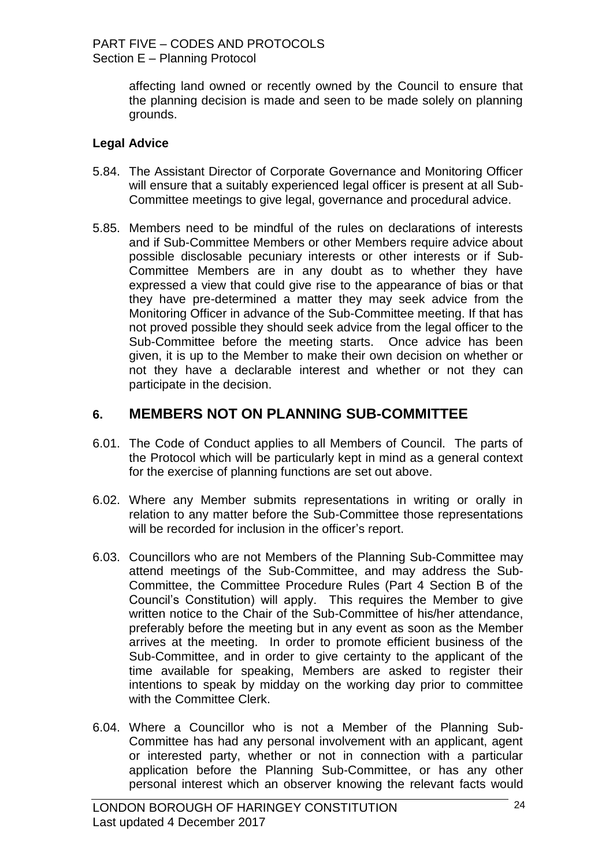affecting land owned or recently owned by the Council to ensure that the planning decision is made and seen to be made solely on planning grounds.

## **Legal Advice**

- 5.84. The Assistant Director of Corporate Governance and Monitoring Officer will ensure that a suitably experienced legal officer is present at all Sub-Committee meetings to give legal, governance and procedural advice.
- 5.85. Members need to be mindful of the rules on declarations of interests and if Sub-Committee Members or other Members require advice about possible disclosable pecuniary interests or other interests or if Sub-Committee Members are in any doubt as to whether they have expressed a view that could give rise to the appearance of bias or that they have pre-determined a matter they may seek advice from the Monitoring Officer in advance of the Sub-Committee meeting. If that has not proved possible they should seek advice from the legal officer to the Sub-Committee before the meeting starts. Once advice has been given, it is up to the Member to make their own decision on whether or not they have a declarable interest and whether or not they can participate in the decision.

## **6. MEMBERS NOT ON PLANNING SUB-COMMITTEE**

- 6.01. The Code of Conduct applies to all Members of Council. The parts of the Protocol which will be particularly kept in mind as a general context for the exercise of planning functions are set out above.
- 6.02. Where any Member submits representations in writing or orally in relation to any matter before the Sub-Committee those representations will be recorded for inclusion in the officer's report.
- 6.03. Councillors who are not Members of the Planning Sub-Committee may attend meetings of the Sub-Committee, and may address the Sub-Committee, the Committee Procedure Rules (Part 4 Section B of the Council"s Constitution) will apply. This requires the Member to give written notice to the Chair of the Sub-Committee of his/her attendance, preferably before the meeting but in any event as soon as the Member arrives at the meeting. In order to promote efficient business of the Sub-Committee, and in order to give certainty to the applicant of the time available for speaking, Members are asked to register their intentions to speak by midday on the working day prior to committee with the Committee Clerk.
- 6.04. Where a Councillor who is not a Member of the Planning Sub-Committee has had any personal involvement with an applicant, agent or interested party, whether or not in connection with a particular application before the Planning Sub-Committee, or has any other personal interest which an observer knowing the relevant facts would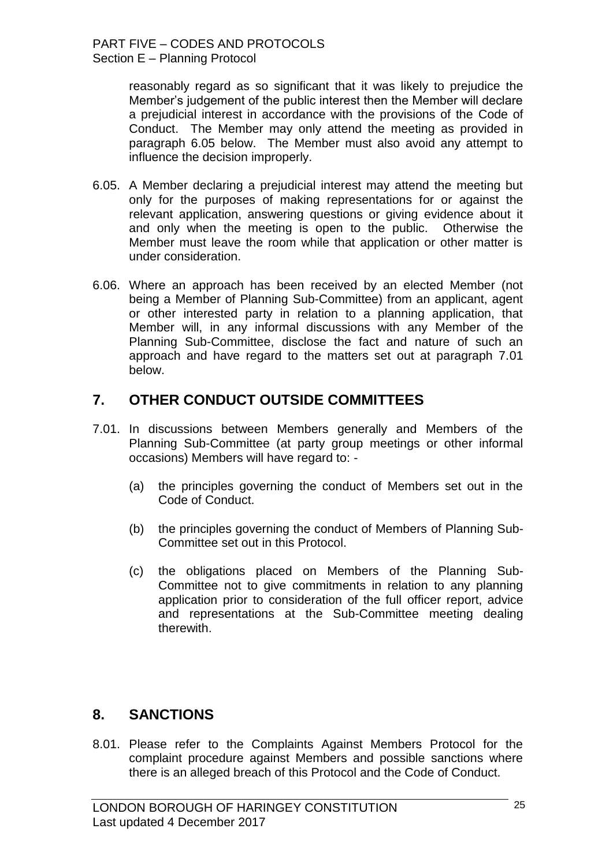reasonably regard as so significant that it was likely to prejudice the Member"s judgement of the public interest then the Member will declare a prejudicial interest in accordance with the provisions of the Code of Conduct. The Member may only attend the meeting as provided in paragraph 6.05 below. The Member must also avoid any attempt to influence the decision improperly.

- 6.05. A Member declaring a prejudicial interest may attend the meeting but only for the purposes of making representations for or against the relevant application, answering questions or giving evidence about it and only when the meeting is open to the public. Otherwise the Member must leave the room while that application or other matter is under consideration.
- 6.06. Where an approach has been received by an elected Member (not being a Member of Planning Sub-Committee) from an applicant, agent or other interested party in relation to a planning application, that Member will, in any informal discussions with any Member of the Planning Sub-Committee, disclose the fact and nature of such an approach and have regard to the matters set out at paragraph 7.01 below.

## **7. OTHER CONDUCT OUTSIDE COMMITTEES**

- 7.01. In discussions between Members generally and Members of the Planning Sub-Committee (at party group meetings or other informal occasions) Members will have regard to: -
	- (a) the principles governing the conduct of Members set out in the Code of Conduct.
	- (b) the principles governing the conduct of Members of Planning Sub-Committee set out in this Protocol.
	- (c) the obligations placed on Members of the Planning Sub-Committee not to give commitments in relation to any planning application prior to consideration of the full officer report, advice and representations at the Sub-Committee meeting dealing therewith.

# **8. SANCTIONS**

8.01. Please refer to the Complaints Against Members Protocol for the complaint procedure against Members and possible sanctions where there is an alleged breach of this Protocol and the Code of Conduct.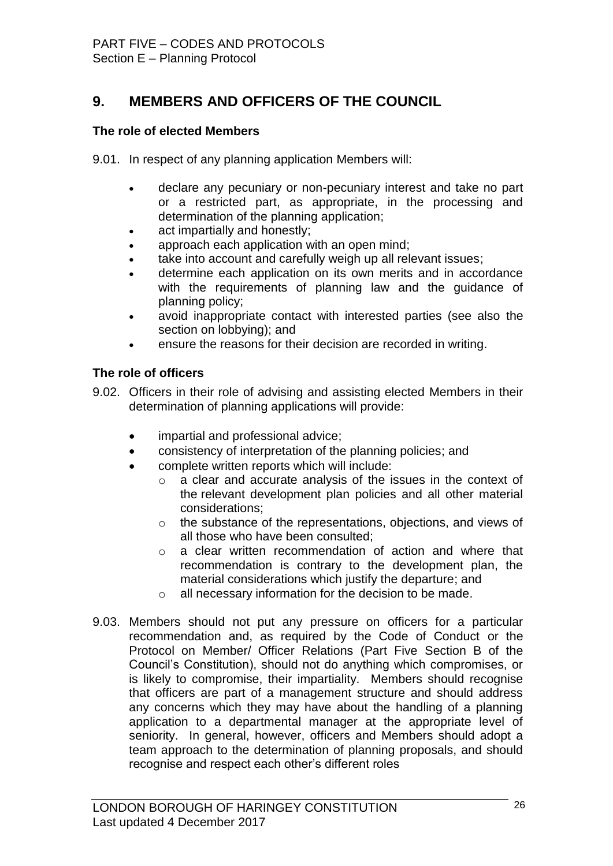# **9. MEMBERS AND OFFICERS OF THE COUNCIL**

#### **The role of elected Members**

9.01. In respect of any planning application Members will:

- declare any pecuniary or non-pecuniary interest and take no part or a restricted part, as appropriate, in the processing and determination of the planning application;
- act impartially and honestly;
- approach each application with an open mind:
- take into account and carefully weigh up all relevant issues;
- determine each application on its own merits and in accordance with the requirements of planning law and the quidance of planning policy;
- avoid inappropriate contact with interested parties (see also the section on lobbying); and
- ensure the reasons for their decision are recorded in writing.

#### **The role of officers**

- 9.02. Officers in their role of advising and assisting elected Members in their determination of planning applications will provide:
	- impartial and professional advice;
	- consistency of interpretation of the planning policies; and
	- complete written reports which will include:
		- $\circ$  a clear and accurate analysis of the issues in the context of the relevant development plan policies and all other material considerations;
		- o the substance of the representations, objections, and views of all those who have been consulted;
		- o a clear written recommendation of action and where that recommendation is contrary to the development plan, the material considerations which justify the departure; and
		- o all necessary information for the decision to be made.
- 9.03. Members should not put any pressure on officers for a particular recommendation and, as required by the Code of Conduct or the Protocol on Member/ Officer Relations (Part Five Section B of the Council"s Constitution), should not do anything which compromises, or is likely to compromise, their impartiality. Members should recognise that officers are part of a management structure and should address any concerns which they may have about the handling of a planning application to a departmental manager at the appropriate level of seniority. In general, however, officers and Members should adopt a team approach to the determination of planning proposals, and should recognise and respect each other"s different roles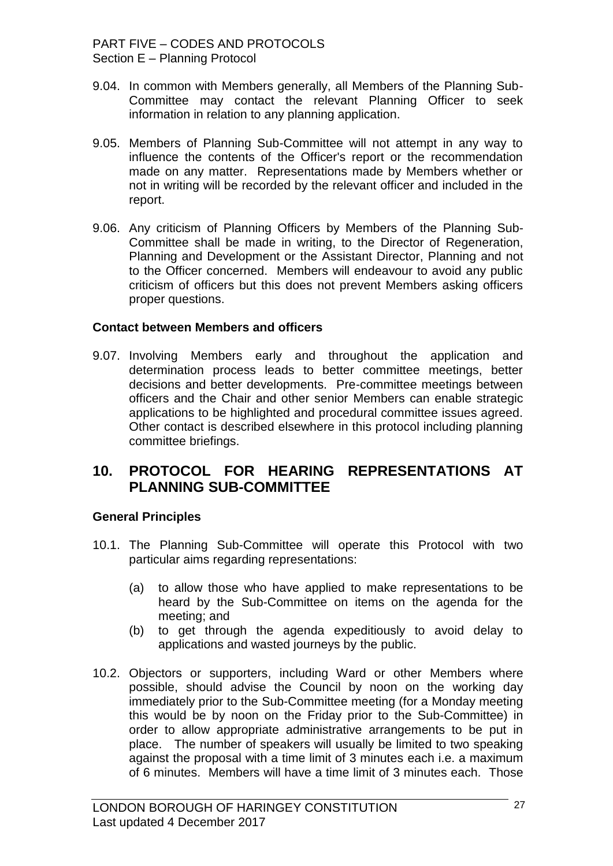- 9.04. In common with Members generally, all Members of the Planning Sub-Committee may contact the relevant Planning Officer to seek information in relation to any planning application.
- 9.05. Members of Planning Sub-Committee will not attempt in any way to influence the contents of the Officer's report or the recommendation made on any matter. Representations made by Members whether or not in writing will be recorded by the relevant officer and included in the report.
- 9.06. Any criticism of Planning Officers by Members of the Planning Sub-Committee shall be made in writing, to the Director of Regeneration, Planning and Development or the Assistant Director, Planning and not to the Officer concerned. Members will endeavour to avoid any public criticism of officers but this does not prevent Members asking officers proper questions.

#### **Contact between Members and officers**

9.07. Involving Members early and throughout the application and determination process leads to better committee meetings, better decisions and better developments. Pre-committee meetings between officers and the Chair and other senior Members can enable strategic applications to be highlighted and procedural committee issues agreed. Other contact is described elsewhere in this protocol including planning committee briefings.

## **10. PROTOCOL FOR HEARING REPRESENTATIONS AT PLANNING SUB-COMMITTEE**

#### **General Principles**

- 10.1. The Planning Sub-Committee will operate this Protocol with two particular aims regarding representations:
	- (a) to allow those who have applied to make representations to be heard by the Sub-Committee on items on the agenda for the meeting; and
	- (b) to get through the agenda expeditiously to avoid delay to applications and wasted journeys by the public.
- 10.2. Objectors or supporters, including Ward or other Members where possible, should advise the Council by noon on the working day immediately prior to the Sub-Committee meeting (for a Monday meeting this would be by noon on the Friday prior to the Sub-Committee) in order to allow appropriate administrative arrangements to be put in place. The number of speakers will usually be limited to two speaking against the proposal with a time limit of 3 minutes each i.e. a maximum of 6 minutes. Members will have a time limit of 3 minutes each. Those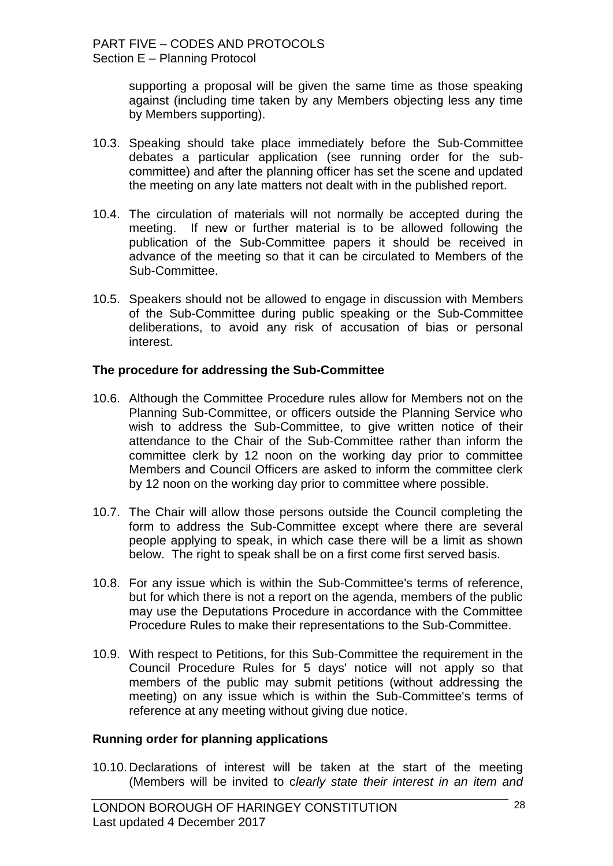supporting a proposal will be given the same time as those speaking against (including time taken by any Members objecting less any time by Members supporting).

- 10.3. Speaking should take place immediately before the Sub-Committee debates a particular application (see running order for the subcommittee) and after the planning officer has set the scene and updated the meeting on any late matters not dealt with in the published report.
- 10.4. The circulation of materials will not normally be accepted during the meeting. If new or further material is to be allowed following the publication of the Sub-Committee papers it should be received in advance of the meeting so that it can be circulated to Members of the Sub-Committee.
- 10.5. Speakers should not be allowed to engage in discussion with Members of the Sub-Committee during public speaking or the Sub-Committee deliberations, to avoid any risk of accusation of bias or personal interest.

#### **The procedure for addressing the Sub-Committee**

- 10.6. Although the Committee Procedure rules allow for Members not on the Planning Sub-Committee, or officers outside the Planning Service who wish to address the Sub-Committee, to give written notice of their attendance to the Chair of the Sub-Committee rather than inform the committee clerk by 12 noon on the working day prior to committee Members and Council Officers are asked to inform the committee clerk by 12 noon on the working day prior to committee where possible.
- 10.7. The Chair will allow those persons outside the Council completing the form to address the Sub-Committee except where there are several people applying to speak, in which case there will be a limit as shown below. The right to speak shall be on a first come first served basis.
- 10.8. For any issue which is within the Sub-Committee's terms of reference, but for which there is not a report on the agenda, members of the public may use the Deputations Procedure in accordance with the Committee Procedure Rules to make their representations to the Sub-Committee.
- 10.9. With respect to Petitions, for this Sub-Committee the requirement in the Council Procedure Rules for 5 days' notice will not apply so that members of the public may submit petitions (without addressing the meeting) on any issue which is within the Sub-Committee's terms of reference at any meeting without giving due notice.

#### **Running order for planning applications**

10.10. Declarations of interest will be taken at the start of the meeting (Members will be invited to c*learly state their interest in an item and*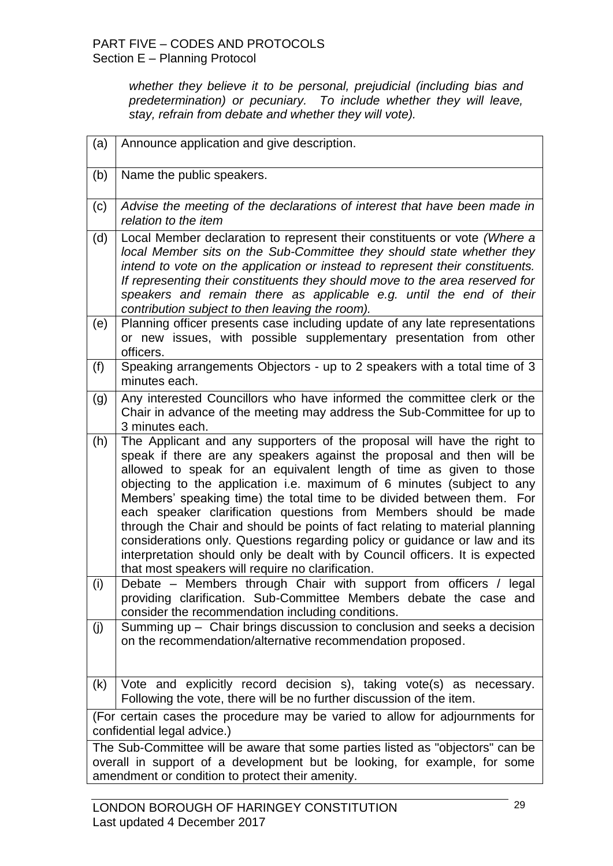*whether they believe it to be personal, prejudicial (including bias and predetermination) or pecuniary. To include whether they will leave, stay, refrain from debate and whether they will vote).* 

| (a)                                                                                                                                                                                                             | Announce application and give description.                                                                                                                                                                                                                                                                                                                                                                                                                                                                                                                                                                                                                                                                                                         |
|-----------------------------------------------------------------------------------------------------------------------------------------------------------------------------------------------------------------|----------------------------------------------------------------------------------------------------------------------------------------------------------------------------------------------------------------------------------------------------------------------------------------------------------------------------------------------------------------------------------------------------------------------------------------------------------------------------------------------------------------------------------------------------------------------------------------------------------------------------------------------------------------------------------------------------------------------------------------------------|
| (b)                                                                                                                                                                                                             | Name the public speakers.                                                                                                                                                                                                                                                                                                                                                                                                                                                                                                                                                                                                                                                                                                                          |
| (c)                                                                                                                                                                                                             | Advise the meeting of the declarations of interest that have been made in<br>relation to the item                                                                                                                                                                                                                                                                                                                                                                                                                                                                                                                                                                                                                                                  |
| (d)                                                                                                                                                                                                             | Local Member declaration to represent their constituents or vote (Where a<br>local Member sits on the Sub-Committee they should state whether they<br>intend to vote on the application or instead to represent their constituents.<br>If representing their constituents they should move to the area reserved for<br>speakers and remain there as applicable e.g. until the end of their<br>contribution subject to then leaving the room).                                                                                                                                                                                                                                                                                                      |
| (e)                                                                                                                                                                                                             | Planning officer presents case including update of any late representations<br>or new issues, with possible supplementary presentation from other<br>officers.                                                                                                                                                                                                                                                                                                                                                                                                                                                                                                                                                                                     |
| (f)                                                                                                                                                                                                             | Speaking arrangements Objectors - up to 2 speakers with a total time of 3<br>minutes each.                                                                                                                                                                                                                                                                                                                                                                                                                                                                                                                                                                                                                                                         |
| (g)                                                                                                                                                                                                             | Any interested Councillors who have informed the committee clerk or the<br>Chair in advance of the meeting may address the Sub-Committee for up to<br>3 minutes each.                                                                                                                                                                                                                                                                                                                                                                                                                                                                                                                                                                              |
| (h)                                                                                                                                                                                                             | The Applicant and any supporters of the proposal will have the right to<br>speak if there are any speakers against the proposal and then will be<br>allowed to speak for an equivalent length of time as given to those<br>objecting to the application i.e. maximum of 6 minutes (subject to any<br>Members' speaking time) the total time to be divided between them. For<br>each speaker clarification questions from Members should be made<br>through the Chair and should be points of fact relating to material planning<br>considerations only. Questions regarding policy or guidance or law and its<br>interpretation should only be dealt with by Council officers. It is expected<br>that most speakers will require no clarification. |
| (i)                                                                                                                                                                                                             | Debate – Members through Chair with support from officers / legal<br>providing clarification. Sub-Committee Members debate the case and<br>consider the recommendation including conditions.                                                                                                                                                                                                                                                                                                                                                                                                                                                                                                                                                       |
| (j)                                                                                                                                                                                                             | Summing up - Chair brings discussion to conclusion and seeks a decision<br>on the recommendation/alternative recommendation proposed.                                                                                                                                                                                                                                                                                                                                                                                                                                                                                                                                                                                                              |
| (k)                                                                                                                                                                                                             | Vote and explicitly record decision s), taking vote(s) as necessary.<br>Following the vote, there will be no further discussion of the item.                                                                                                                                                                                                                                                                                                                                                                                                                                                                                                                                                                                                       |
| (For certain cases the procedure may be varied to allow for adjournments for<br>confidential legal advice.)                                                                                                     |                                                                                                                                                                                                                                                                                                                                                                                                                                                                                                                                                                                                                                                                                                                                                    |
| The Sub-Committee will be aware that some parties listed as "objectors" can be<br>overall in support of a development but be looking, for example, for some<br>amendment or condition to protect their amenity. |                                                                                                                                                                                                                                                                                                                                                                                                                                                                                                                                                                                                                                                                                                                                                    |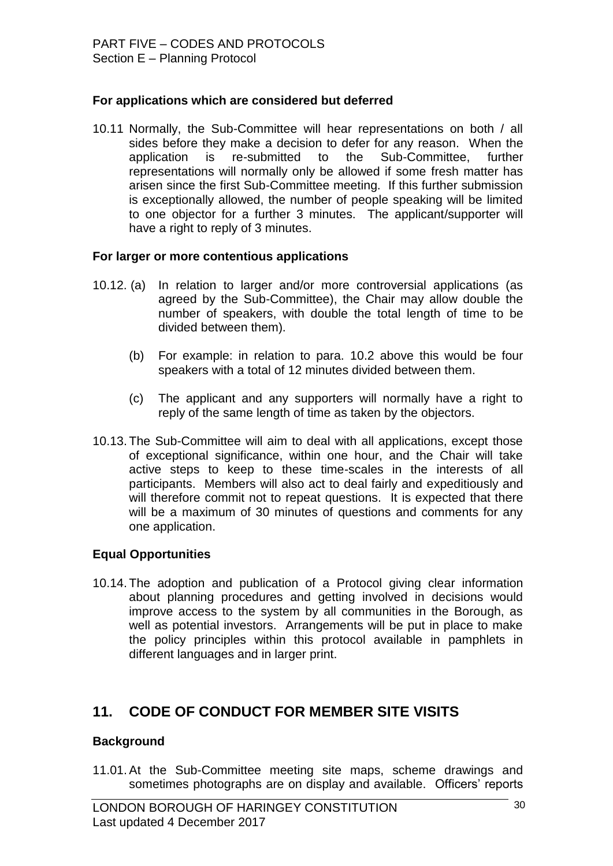#### **For applications which are considered but deferred**

10.11 Normally, the Sub-Committee will hear representations on both / all sides before they make a decision to defer for any reason. When the application is re-submitted to the Sub-Committee, further representations will normally only be allowed if some fresh matter has arisen since the first Sub-Committee meeting. If this further submission is exceptionally allowed, the number of people speaking will be limited to one objector for a further 3 minutes. The applicant/supporter will have a right to reply of 3 minutes.

#### **For larger or more contentious applications**

- 10.12. (a) In relation to larger and/or more controversial applications (as agreed by the Sub-Committee), the Chair may allow double the number of speakers, with double the total length of time to be divided between them).
	- (b) For example: in relation to para. 10.2 above this would be four speakers with a total of 12 minutes divided between them.
	- (c) The applicant and any supporters will normally have a right to reply of the same length of time as taken by the objectors.
- 10.13. The Sub-Committee will aim to deal with all applications, except those of exceptional significance, within one hour, and the Chair will take active steps to keep to these time-scales in the interests of all participants. Members will also act to deal fairly and expeditiously and will therefore commit not to repeat questions. It is expected that there will be a maximum of 30 minutes of questions and comments for any one application.

#### **Equal Opportunities**

10.14. The adoption and publication of a Protocol giving clear information about planning procedures and getting involved in decisions would improve access to the system by all communities in the Borough, as well as potential investors. Arrangements will be put in place to make the policy principles within this protocol available in pamphlets in different languages and in larger print.

# **11. CODE OF CONDUCT FOR MEMBER SITE VISITS**

#### **Background**

11.01.At the Sub-Committee meeting site maps, scheme drawings and sometimes photographs are on display and available. Officers' reports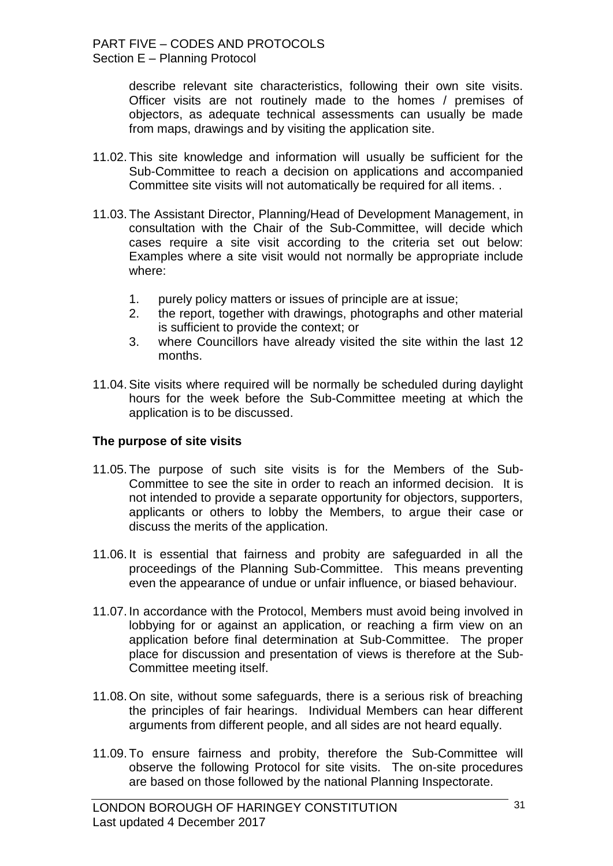describe relevant site characteristics, following their own site visits. Officer visits are not routinely made to the homes / premises of objectors, as adequate technical assessments can usually be made from maps, drawings and by visiting the application site.

- 11.02. This site knowledge and information will usually be sufficient for the Sub-Committee to reach a decision on applications and accompanied Committee site visits will not automatically be required for all items. .
- 11.03. The Assistant Director, Planning/Head of Development Management, in consultation with the Chair of the Sub-Committee, will decide which cases require a site visit according to the criteria set out below: Examples where a site visit would not normally be appropriate include where:
	- 1. purely policy matters or issues of principle are at issue;
	- 2. the report, together with drawings, photographs and other material is sufficient to provide the context; or
	- 3. where Councillors have already visited the site within the last 12 months.
- 11.04.Site visits where required will be normally be scheduled during daylight hours for the week before the Sub-Committee meeting at which the application is to be discussed.

#### **The purpose of site visits**

- 11.05. The purpose of such site visits is for the Members of the Sub-Committee to see the site in order to reach an informed decision. It is not intended to provide a separate opportunity for objectors, supporters, applicants or others to lobby the Members, to argue their case or discuss the merits of the application.
- 11.06. It is essential that fairness and probity are safeguarded in all the proceedings of the Planning Sub-Committee. This means preventing even the appearance of undue or unfair influence, or biased behaviour.
- 11.07. In accordance with the Protocol, Members must avoid being involved in lobbying for or against an application, or reaching a firm view on an application before final determination at Sub-Committee. The proper place for discussion and presentation of views is therefore at the Sub-Committee meeting itself.
- 11.08. On site, without some safeguards, there is a serious risk of breaching the principles of fair hearings. Individual Members can hear different arguments from different people, and all sides are not heard equally.
- 11.09. To ensure fairness and probity, therefore the Sub-Committee will observe the following Protocol for site visits. The on-site procedures are based on those followed by the national Planning Inspectorate.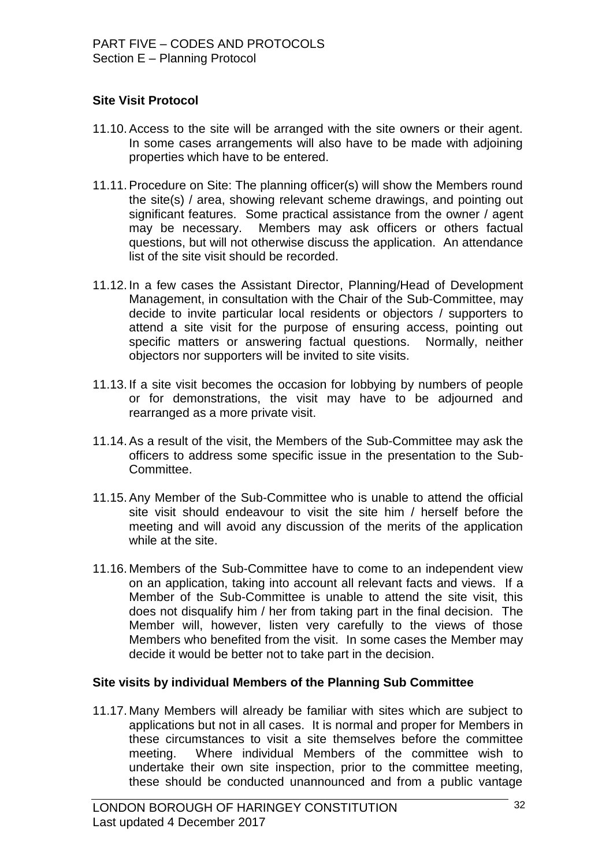## **Site Visit Protocol**

- 11.10.Access to the site will be arranged with the site owners or their agent. In some cases arrangements will also have to be made with adjoining properties which have to be entered.
- 11.11.Procedure on Site: The planning officer(s) will show the Members round the site(s) / area, showing relevant scheme drawings, and pointing out significant features. Some practical assistance from the owner / agent may be necessary. Members may ask officers or others factual questions, but will not otherwise discuss the application. An attendance list of the site visit should be recorded.
- 11.12. In a few cases the Assistant Director, Planning/Head of Development Management, in consultation with the Chair of the Sub-Committee, may decide to invite particular local residents or objectors / supporters to attend a site visit for the purpose of ensuring access, pointing out specific matters or answering factual questions. Normally, neither objectors nor supporters will be invited to site visits.
- 11.13. If a site visit becomes the occasion for lobbying by numbers of people or for demonstrations, the visit may have to be adjourned and rearranged as a more private visit.
- 11.14.As a result of the visit, the Members of the Sub-Committee may ask the officers to address some specific issue in the presentation to the Sub-Committee.
- 11.15.Any Member of the Sub-Committee who is unable to attend the official site visit should endeavour to visit the site him / herself before the meeting and will avoid any discussion of the merits of the application while at the site.
- 11.16. Members of the Sub-Committee have to come to an independent view on an application, taking into account all relevant facts and views. If a Member of the Sub-Committee is unable to attend the site visit, this does not disqualify him / her from taking part in the final decision. The Member will, however, listen very carefully to the views of those Members who benefited from the visit. In some cases the Member may decide it would be better not to take part in the decision.

#### **Site visits by individual Members of the Planning Sub Committee**

11.17. Many Members will already be familiar with sites which are subject to applications but not in all cases. It is normal and proper for Members in these circumstances to visit a site themselves before the committee meeting. Where individual Members of the committee wish to undertake their own site inspection, prior to the committee meeting, these should be conducted unannounced and from a public vantage